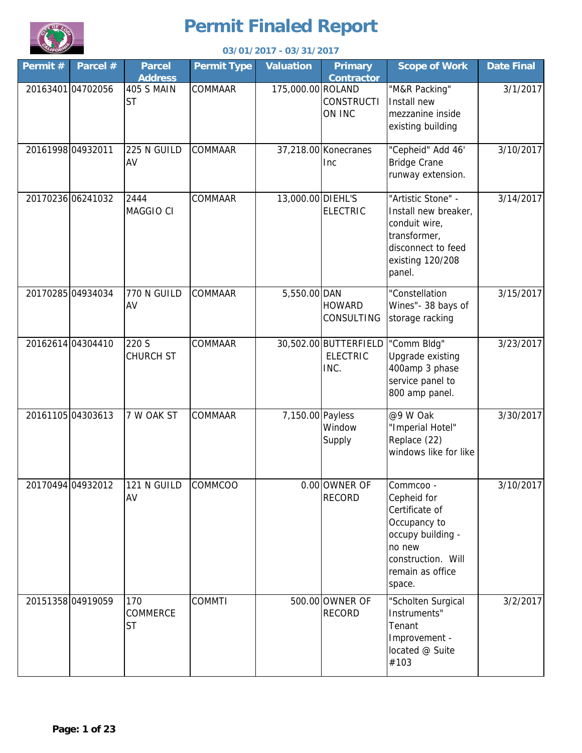

| Permit# |                   |                                     |                    | 03/01/2017 - 03/31/2017 |                                                  |                                                                                                                                               |                   |
|---------|-------------------|-------------------------------------|--------------------|-------------------------|--------------------------------------------------|-----------------------------------------------------------------------------------------------------------------------------------------------|-------------------|
|         | Parcel #          | <b>Parcel</b><br><b>Address</b>     | <b>Permit Type</b> | <b>Valuation</b>        | <b>Primary</b><br><b>Contractor</b>              | <b>Scope of Work</b>                                                                                                                          | <b>Date Final</b> |
|         | 20163401 04702056 | <b>405 S MAIN</b><br><b>ST</b>      | COMMAAR            | 175,000.00 ROLAND       | <b>CONSTRUCTI</b><br>ON INC                      | "M&R Packing"<br>Install new<br>mezzanine inside<br>existing building                                                                         | 3/1/2017          |
|         | 20161998 04932011 | 225 N GUILD<br>AV                   | <b>COMMAAR</b>     |                         | 37,218.00 Konecranes<br><b>Inc</b>               | "Cepheid" Add 46'<br><b>Bridge Crane</b><br>runway extension.                                                                                 | 3/10/2017         |
|         | 20170236 06241032 | 2444<br>MAGGIO CI                   | COMMAAR            | 13,000.00 DIEHL'S       | <b>ELECTRIC</b>                                  | "Artistic Stone" -<br>Install new breaker,<br>conduit wire,<br>transformer,<br>disconnect to feed<br>existing 120/208<br>panel.               | 3/14/2017         |
|         | 20170285 04934034 | 770 N GUILD<br>AV                   | COMMAAR            | 5,550.00 DAN            | <b>HOWARD</b><br><b>CONSULTING</b>               | "Constellation<br>Wines"- 38 bays of<br>storage racking                                                                                       | 3/15/2017         |
|         | 20162614 04304410 | 220 S<br><b>CHURCH ST</b>           | COMMAAR            |                         | 30,502.00 BUTTERFIELD<br><b>ELECTRIC</b><br>INC. | "Comm Bldg"<br>Upgrade existing<br>400amp 3 phase<br>service panel to<br>800 amp panel.                                                       | 3/23/2017         |
|         | 20161105 04303613 | 7 W OAK ST                          | COMMAAR            | 7,150.00 Payless        | Window<br>Supply                                 | @9 W Oak<br>"Imperial Hotel"<br>Replace (22)<br>windows like for like                                                                         | 3/30/2017         |
|         | 20170494 04932012 | 121 N GUILD<br>AV                   | COMMCOO            |                         | 0.00 OWNER OF<br><b>RECORD</b>                   | Commcoo -<br>Cepheid for<br>Certificate of<br>Occupancy to<br>occupy building -<br>no new<br>construction. Will<br>remain as office<br>space. | 3/10/2017         |
|         | 20151358 04919059 | 170<br><b>COMMERCE</b><br><b>ST</b> | <b>COMMTI</b>      |                         | 500.00 OWNER OF<br><b>RECORD</b>                 | "Scholten Surgical<br>Instruments"<br>Tenant<br>Improvement -<br>located @ Suite<br>#103                                                      | 3/2/2017          |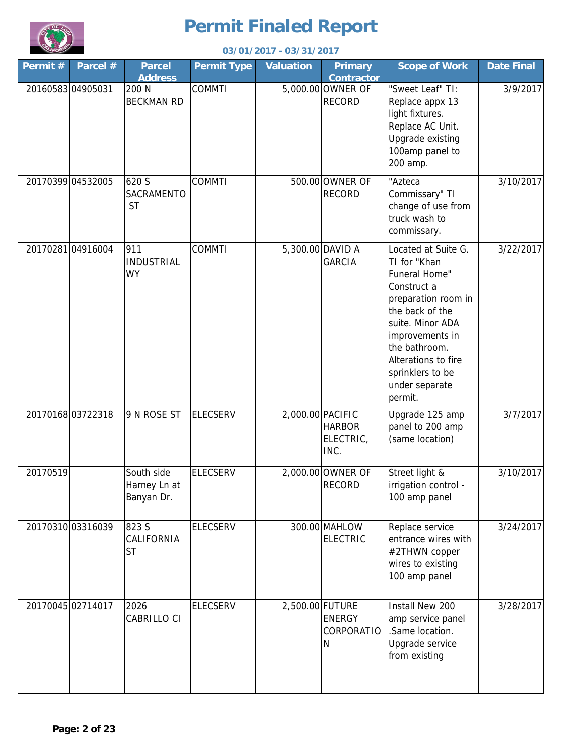

| 03/01/2017 - 03/31/2017 |                   |                                          |                    |                  |                                     |                                                                                                                                                                                                                                               |                   |
|-------------------------|-------------------|------------------------------------------|--------------------|------------------|-------------------------------------|-----------------------------------------------------------------------------------------------------------------------------------------------------------------------------------------------------------------------------------------------|-------------------|
| Permit#                 | Parcel #          | <b>Parcel</b><br><b>Address</b>          | <b>Permit Type</b> | <b>Valuation</b> | <b>Primary</b><br><b>Contractor</b> | <b>Scope of Work</b>                                                                                                                                                                                                                          | <b>Date Final</b> |
|                         | 20160583 04905031 | 200 N<br><b>BECKMAN RD</b>               | <b>COMMTI</b>      |                  | 5,000.00 OWNER OF<br><b>RECORD</b>  | "Sweet Leaf" TI:<br>Replace appx 13<br>light fixtures.<br>Replace AC Unit.<br>Upgrade existing<br>100amp panel to<br>200 amp.                                                                                                                 | 3/9/2017          |
|                         | 20170399 04532005 | 620 S<br><b>SACRAMENTO</b><br><b>ST</b>  | <b>COMMTI</b>      |                  | 500.00 OWNER OF<br><b>RECORD</b>    | "Azteca<br>Commissary" TI<br>change of use from<br>truck wash to<br>commissary.                                                                                                                                                               | 3/10/2017         |
|                         | 20170281 04916004 | 911<br><b>INDUSTRIAL</b><br><b>WY</b>    | <b>COMMTI</b>      |                  | 5,300.00 DAVID A<br><b>GARCIA</b>   | Located at Suite G.<br>TI for "Khan<br>Funeral Home"<br>Construct a<br>preparation room in<br>the back of the<br>suite. Minor ADA<br>improvements in<br>the bathroom.<br>Alterations to fire<br>sprinklers to be<br>under separate<br>permit. | 3/22/2017         |
|                         | 20170168 03722318 | 9 N ROSE ST                              | <b>ELECSERV</b>    | 2,000.00 PACIFIC | <b>HARBOR</b><br>ELECTRIC,<br>INC.  | Upgrade 125 amp<br>panel to 200 amp<br>(same location)                                                                                                                                                                                        | 3/7/2017          |
| 20170519                |                   | South side<br>Harney Ln at<br>Banyan Dr. | <b>ELECSERV</b>    |                  | 2,000.00 OWNER OF<br><b>RECORD</b>  | Street light &<br>irrigation control -<br>100 amp panel                                                                                                                                                                                       | 3/10/2017         |
|                         | 20170310 03316039 | 823 S<br>CALIFORNIA<br><b>ST</b>         | <b>ELECSERV</b>    |                  | 300.00 MAHLOW<br>ELECTRIC           | Replace service<br>entrance wires with<br>#2THWN copper<br>wires to existing<br>100 amp panel                                                                                                                                                 | 3/24/2017         |
|                         | 20170045 02714017 | 2026<br><b>CABRILLO CI</b>               | <b>ELECSERV</b>    | 2,500.00 FUTURE  | <b>ENERGY</b><br>CORPORATIO<br>N    | Install New 200<br>amp service panel<br>.Same location.<br>Upgrade service<br>from existing                                                                                                                                                   | 3/28/2017         |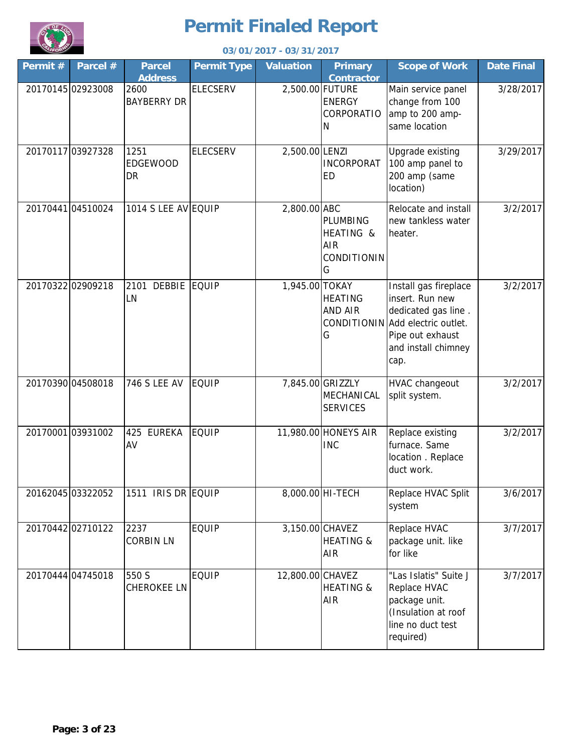

|         | 03/01/2017 - 03/31/2017 |                                 |                    |                  |                                                         |                                                                                                                                                        |                   |  |
|---------|-------------------------|---------------------------------|--------------------|------------------|---------------------------------------------------------|--------------------------------------------------------------------------------------------------------------------------------------------------------|-------------------|--|
| Permit# | Parcel #                | <b>Parcel</b><br><b>Address</b> | <b>Permit Type</b> | <b>Valuation</b> | <b>Primary</b><br><b>Contractor</b>                     | <b>Scope of Work</b>                                                                                                                                   | <b>Date Final</b> |  |
|         | 20170145 02923008       | 2600<br><b>BAYBERRY DR</b>      | <b>ELECSERV</b>    | 2,500.00 FUTURE  | <b>ENERGY</b><br>CORPORATIO<br>N                        | Main service panel<br>change from 100<br>amp to 200 amp-<br>same location                                                                              | 3/28/2017         |  |
|         | 20170117 03927328       | 1251<br>EDGEWOOD<br>DR          | <b>ELECSERV</b>    | 2,500.00 LENZI   | <b>INCORPORAT</b><br><b>ED</b>                          | Upgrade existing<br>100 amp panel to<br>200 amp (same<br>location)                                                                                     | 3/29/2017         |  |
|         | 20170441 04510024       | 1014 S LEE AV EQUIP             |                    | 2,800.00 ABC     | PLUMBING<br>HEATING &<br>AIR<br><b>CONDITIONIN</b><br>G | Relocate and install<br>new tankless water<br>heater.                                                                                                  | 3/2/2017          |  |
|         | 20170322 02909218       | 2101 DEBBIE EQUIP<br>LN         |                    | 1,945.00 TOKAY   | <b>HEATING</b><br><b>AND AIR</b><br>G                   | Install gas fireplace<br>insert. Run new<br>dedicated gas line.<br>CONDITIONIN Add electric outlet.<br>Pipe out exhaust<br>and install chimney<br>cap. | 3/2/2017          |  |
|         | 20170390 04508018       | 746 S LEE AV                    | <b>EQUIP</b>       |                  | 7,845.00 GRIZZLY<br>MECHANICAL<br><b>SERVICES</b>       | HVAC changeout<br>split system.                                                                                                                        | 3/2/2017          |  |
|         | 2017000103931002        | <b>EUREKA</b><br>425<br>AV      | <b>EQUIP</b>       |                  | 11,980.00 HONEYS AIR<br><b>INC</b>                      | Replace existing<br>furnace. Same<br>location . Replace<br>duct work.                                                                                  | 3/2/2017          |  |
|         | 20162045 03322052       | 1511 IRIS DR EQUIP              |                    |                  | 8,000.00 HI-TECH                                        | Replace HVAC Split<br>system                                                                                                                           | 3/6/2017          |  |
|         | 20170442 02710122       | 2237<br><b>CORBIN LN</b>        | <b>EQUIP</b>       | 3,150.00 CHAVEZ  | <b>HEATING &amp;</b><br><b>AIR</b>                      | Replace HVAC<br>package unit. like<br>for like                                                                                                         | 3/7/2017          |  |
|         | 20170444 04745018       | 550 S<br><b>CHEROKEE LN</b>     | <b>EQUIP</b>       | 12,800.00 CHAVEZ | <b>HEATING &amp;</b><br><b>AIR</b>                      | "Las Islatis" Suite J<br>Replace HVAC<br>package unit.<br>(Insulation at roof<br>line no duct test<br>required)                                        | 3/7/2017          |  |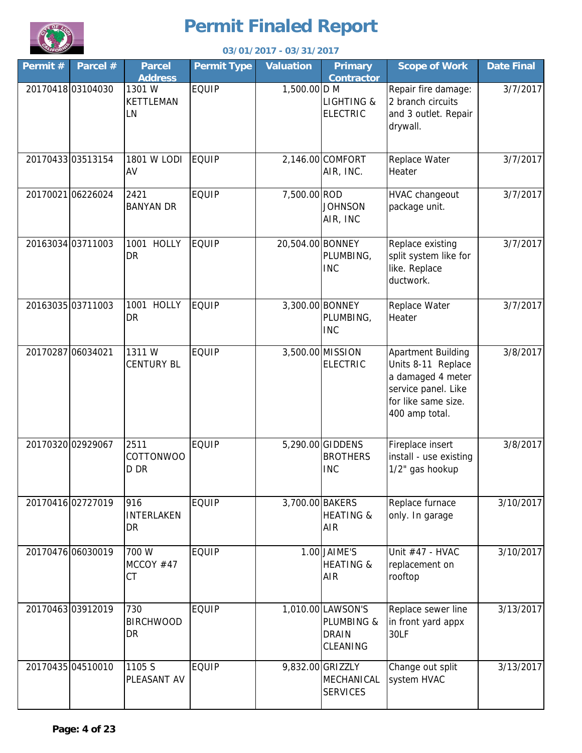

|                   | 03/01/2017 - 03/31/2017 |                                  |                    |                  |                                                             |                                                                                                                                      |                   |  |  |
|-------------------|-------------------------|----------------------------------|--------------------|------------------|-------------------------------------------------------------|--------------------------------------------------------------------------------------------------------------------------------------|-------------------|--|--|
| Permit#           | Parcel #                | <b>Parcel</b><br><b>Address</b>  | <b>Permit Type</b> | <b>Valuation</b> | <b>Primary</b><br><b>Contractor</b>                         | <b>Scope of Work</b>                                                                                                                 | <b>Date Final</b> |  |  |
|                   | 20170418 03104030       | 1301 W<br>KETTLEMAN<br>LN        | <b>EQUIP</b>       | 1,500.00 D M     | <b>LIGHTING &amp;</b><br><b>ELECTRIC</b>                    | Repair fire damage:<br>2 branch circuits<br>and 3 outlet. Repair<br>drywall.                                                         | 3/7/2017          |  |  |
|                   | 20170433 03513154       | <b>1801 W LODI</b><br>AV         | <b>EQUIP</b>       |                  | 2,146.00 COMFORT<br>AIR, INC.                               | Replace Water<br>Heater                                                                                                              | 3/7/2017          |  |  |
|                   | 20170021 06226024       | 2421<br><b>BANYAN DR</b>         | <b>EQUIP</b>       | 7,500.00 ROD     | <b>JOHNSON</b><br>AIR, INC                                  | HVAC changeout<br>package unit.                                                                                                      | 3/7/2017          |  |  |
|                   | 20163034 03711003       | 1001 HOLLY<br>DR                 | <b>EQUIP</b>       | 20,504.00 BONNEY | PLUMBING,<br><b>INC</b>                                     | Replace existing<br>split system like for<br>like. Replace<br>ductwork.                                                              | 3/7/2017          |  |  |
|                   | 20163035 03711003       | 1001 HOLLY<br>DR                 | <b>EQUIP</b>       |                  | 3,300.00 BONNEY<br>PLUMBING,<br><b>INC</b>                  | Replace Water<br>Heater                                                                                                              | 3/7/2017          |  |  |
| 20170287 06034021 |                         | 1311W<br><b>CENTURY BL</b>       | <b>EQUIP</b>       |                  | 3,500.00 MISSION<br><b>ELECTRIC</b>                         | <b>Apartment Building</b><br>Units 8-11 Replace<br>a damaged 4 meter<br>service panel. Like<br>for like same size.<br>400 amp total. | 3/8/2017          |  |  |
|                   | 20170320 02929067       | 2511<br><b>COTTONWOO</b><br>D DR | <b>EQUIP</b>       |                  | 5,290.00 GIDDENS<br><b>BROTHERS</b><br><b>INC</b>           | Fireplace insert<br>install - use existing<br>1/2" gas hookup                                                                        | 3/8/2017          |  |  |
|                   | 20170416 02727019       | 916<br>INTERLAKEN<br>DR          | <b>EQUIP</b>       |                  | 3,700.00 BAKERS<br><b>HEATING &amp;</b><br>AIR              | Replace furnace<br>only. In garage                                                                                                   | 3/10/2017         |  |  |
|                   | 20170476 06030019       | 700 W<br>MCCOY #47<br><b>CT</b>  | <b>EQUIP</b>       |                  | 1.00 JAIME'S<br><b>HEATING &amp;</b><br>AIR                 | Unit $#47 - HVAC$<br>replacement on<br>rooftop                                                                                       | 3/10/2017         |  |  |
|                   | 20170463 03912019       | 730<br><b>BIRCHWOOD</b><br>DR    | <b>EQUIP</b>       |                  | 1,010.00 LAWSON'S<br>PLUMBING &<br><b>DRAIN</b><br>CLEANING | Replace sewer line<br>in front yard appx<br>30LF                                                                                     | 3/13/2017         |  |  |
|                   | 20170435 04510010       | 1105 S<br>PLEASANT AV            | <b>EQUIP</b>       |                  | 9,832.00 GRIZZLY<br>MECHANICAL<br><b>SERVICES</b>           | Change out split<br>system HVAC                                                                                                      | 3/13/2017         |  |  |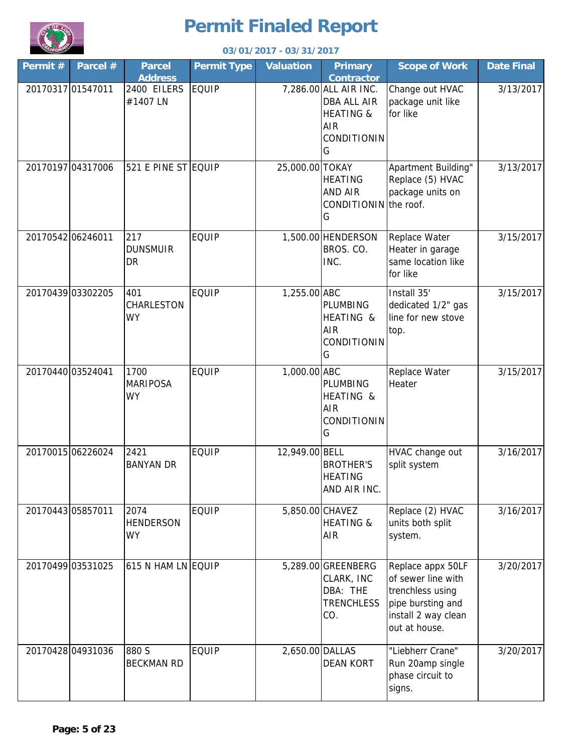

| 03/01/2017 - 03/31/2017 |                   |                                       |                    |                  |                                                                                                       |                                                                                                                          |                   |
|-------------------------|-------------------|---------------------------------------|--------------------|------------------|-------------------------------------------------------------------------------------------------------|--------------------------------------------------------------------------------------------------------------------------|-------------------|
| Permit#                 | Parcel $#$        | <b>Parcel</b><br><b>Address</b>       | <b>Permit Type</b> | <b>Valuation</b> | <b>Primary</b><br><b>Contractor</b>                                                                   | <b>Scope of Work</b>                                                                                                     | <b>Date Final</b> |
|                         | 20170317 01547011 | 2400 EILERS<br>#1407 LN               | <b>EQUIP</b>       |                  | 7,286.00 ALL AIR INC.<br><b>DBA ALL AIR</b><br><b>HEATING &amp;</b><br><b>AIR</b><br>CONDITIONIN<br>G | Change out HVAC<br>package unit like<br>for like                                                                         | 3/13/2017         |
|                         | 20170197 04317006 | 521 E PINE ST EQUIP                   |                    | 25,000.00 TOKAY  | <b>HEATING</b><br>AND AIR<br>CONDITIONIN the roof.<br>G                                               | Apartment Building"<br>Replace (5) HVAC<br>package units on                                                              | 3/13/2017         |
|                         | 20170542 06246011 | 217<br><b>DUNSMUIR</b><br>DR          | <b>EQUIP</b>       |                  | 1,500.00 HENDERSON<br>BROS. CO.<br>INC.                                                               | Replace Water<br>Heater in garage<br>same location like<br>for like                                                      | 3/15/2017         |
|                         | 20170439 03302205 | 401<br>CHARLESTON<br><b>WY</b>        | <b>EQUIP</b>       | 1,255.00 ABC     | PLUMBING<br>HEATING &<br><b>AIR</b><br>CONDITIONIN<br>G                                               | Install 35'<br>dedicated 1/2" gas<br>line for new stove<br>top.                                                          | 3/15/2017         |
|                         | 20170440 03524041 | 1700<br><b>MARIPOSA</b><br><b>WY</b>  | <b>EQUIP</b>       | 1,000.00 ABC     | PLUMBING<br>HEATING &<br><b>AIR</b><br>CONDITIONIN<br>G                                               | Replace Water<br>Heater                                                                                                  | 3/15/2017         |
|                         | 20170015 06226024 | 2421<br><b>BANYAN DR</b>              | <b>EQUIP</b>       | 12,949.00 BELL   | <b>BROTHER'S</b><br><b>HEATING</b><br>AND AIR INC.                                                    | HVAC change out<br>split system                                                                                          | 3/16/2017         |
|                         | 20170443 05857011 | 2074<br><b>HENDERSON</b><br><b>WY</b> | <b>EQUIP</b>       | 5,850.00 CHAVEZ  | <b>HEATING &amp;</b><br><b>AIR</b>                                                                    | Replace (2) HVAC<br>units both split<br>system.                                                                          | 3/16/2017         |
|                         | 20170499 03531025 | 615 N HAM LN EQUIP                    |                    |                  | 5,289.00 GREENBERG<br>CLARK, INC<br>DBA: THE<br><b>TRENCHLESS</b><br>CO.                              | Replace appx 50LF<br>of sewer line with<br>trenchless using<br>pipe bursting and<br>install 2 way clean<br>out at house. | 3/20/2017         |
|                         | 20170428 04931036 | 880 S<br><b>BECKMAN RD</b>            | <b>EQUIP</b>       | 2,650.00 DALLAS  | <b>DEAN KORT</b>                                                                                      | "Liebherr Crane"<br>Run 20amp single<br>phase circuit to<br>signs.                                                       | 3/20/2017         |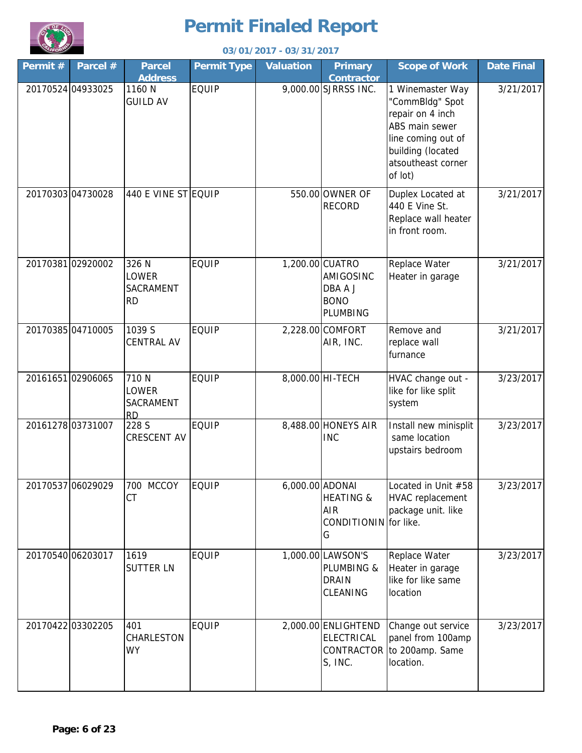

| 03/01/2017 - 03/31/2017<br><b>LIFOR</b> |                   |                                          |                    |                  |                                                                    |                                                                                                                                                       |                   |
|-----------------------------------------|-------------------|------------------------------------------|--------------------|------------------|--------------------------------------------------------------------|-------------------------------------------------------------------------------------------------------------------------------------------------------|-------------------|
| Permit#                                 | Parcel #          | <b>Parcel</b><br><b>Address</b>          | <b>Permit Type</b> | <b>Valuation</b> | <b>Primary</b><br><b>Contractor</b>                                | <b>Scope of Work</b>                                                                                                                                  | <b>Date Final</b> |
|                                         | 20170524 04933025 | 1160 N<br><b>GUILD AV</b>                | <b>EQUIP</b>       |                  | 9,000.00 SJRRSS INC.                                               | 1 Winemaster Way<br>"CommBldg" Spot<br>repair on 4 inch<br>ABS main sewer<br>line coming out of<br>building (located<br>atsoutheast corner<br>of lot) | 3/21/2017         |
|                                         | 20170303 04730028 | 440 E VINE ST EQUIP                      |                    |                  | 550.00 OWNER OF<br><b>RECORD</b>                                   | Duplex Located at<br>440 E Vine St.<br>Replace wall heater<br>in front room.                                                                          | 3/21/2017         |
|                                         | 2017038102920002  | 326 N<br>LOWER<br>SACRAMENT<br><b>RD</b> | <b>EQUIP</b>       |                  | 1,200.00 CUATRO<br>AMIGOSINC<br>DBA A J<br><b>BONO</b><br>PLUMBING | Replace Water<br>Heater in garage                                                                                                                     | 3/21/2017         |
|                                         | 20170385 04710005 | 1039 S<br><b>CENTRAL AV</b>              | <b>EQUIP</b>       |                  | 2,228.00 COMFORT<br>AIR, INC.                                      | Remove and<br>replace wall<br>furnance                                                                                                                | 3/21/2017         |
|                                         | 20161651 02906065 | 710 N<br>LOWER<br>SACRAMENT<br><b>RD</b> | <b>EQUIP</b>       |                  | 8,000.00 HI-TECH                                                   | HVAC change out -<br>like for like split<br>system                                                                                                    | 3/23/2017         |
|                                         | 20161278 03731007 | 228 S<br>CRESCENT AV                     | <b>EQUIP</b>       |                  | 8,488.00 HONEYS AIR<br><b>INC</b>                                  | Install new minisplit<br>same location<br>upstairs bedroom                                                                                            | 3/23/2017         |
|                                         | 20170537 06029029 | 700 MCCOY<br>CT                          | <b>EQUIP</b>       | 6,000.00 ADONAI  | <b>HEATING &amp;</b><br><b>AIR</b><br>CONDITIONIN for like.<br>G   | Located in Unit #58<br>HVAC replacement<br>package unit. like                                                                                         | 3/23/2017         |
|                                         | 20170540 06203017 | 1619<br><b>SUTTER LN</b>                 | <b>EQUIP</b>       |                  | 1,000.00 LAWSON'S<br>PLUMBING &<br><b>DRAIN</b><br>CLEANING        | Replace Water<br>Heater in garage<br>like for like same<br>location                                                                                   | 3/23/2017         |
|                                         | 20170422 03302205 | 401<br>CHARLESTON<br><b>WY</b>           | <b>EQUIP</b>       |                  | 2,000.00 ENLIGHTEND<br>ELECTRICAL<br>S, INC.                       | Change out service<br>panel from 100amp<br>CONTRACTOR to 200amp. Same<br>location.                                                                    | 3/23/2017         |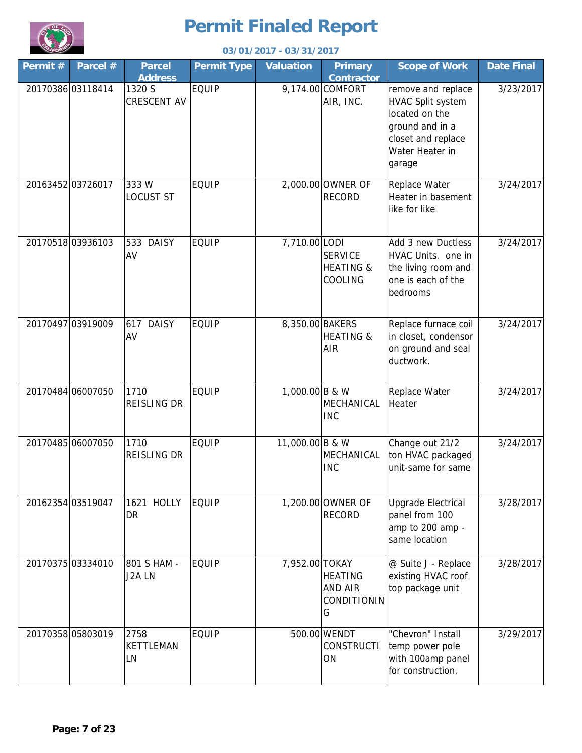

|         | 03/01/2017 - 03/31/2017 |                                 |                    |                  |                                                   |                                                                                                                                 |                   |  |
|---------|-------------------------|---------------------------------|--------------------|------------------|---------------------------------------------------|---------------------------------------------------------------------------------------------------------------------------------|-------------------|--|
| Permit# | Parcel #                | <b>Parcel</b><br><b>Address</b> | <b>Permit Type</b> | <b>Valuation</b> | <b>Primary</b><br><b>Contractor</b>               | <b>Scope of Work</b>                                                                                                            | <b>Date Final</b> |  |
|         | 20170386 03118414       | 1320 S<br><b>CRESCENT AV</b>    | <b>EQUIP</b>       |                  | 9,174.00 COMFORT<br>AIR, INC.                     | remove and replace<br>HVAC Split system<br>located on the<br>ground and in a<br>closet and replace<br>Water Heater in<br>garage | 3/23/2017         |  |
|         | 20163452 03726017       | 333W<br><b>LOCUST ST</b>        | <b>EQUIP</b>       |                  | 2,000.00 OWNER OF<br><b>RECORD</b>                | Replace Water<br>Heater in basement<br>like for like                                                                            | 3/24/2017         |  |
|         | 20170518 03936103       | 533 DAISY<br>AV                 | <b>EQUIP</b>       | 7,710.00 LODI    | <b>SERVICE</b><br><b>HEATING &amp;</b><br>COOLING | Add 3 new Ductless<br>HVAC Units. one in<br>the living room and<br>one is each of the<br>bedrooms                               | 3/24/2017         |  |
|         | 20170497 03919009       | <b>DAISY</b><br>617<br>AV       | <b>EQUIP</b>       | 8,350.00 BAKERS  | <b>HEATING &amp;</b><br><b>AIR</b>                | Replace furnace coil<br>in closet, condensor<br>on ground and seal<br>ductwork.                                                 | 3/24/2017         |  |
|         | 20170484 06007050       | 1710<br><b>REISLING DR</b>      | <b>EQUIP</b>       | 1,000.00 B & W   | MECHANICAL<br><b>INC</b>                          | Replace Water<br>Heater                                                                                                         | 3/24/2017         |  |
|         | 20170485 06007050       | 1710<br><b>REISLING DR</b>      | <b>EQUIP</b>       | 11,000.00 B & W  | MECHANICAL<br><b>INC</b>                          | Change out 21/2<br>ton HVAC packaged<br>unit-same for same                                                                      | 3/24/2017         |  |
|         | 20162354 03519047       | 1621 HOLLY<br><b>DR</b>         | <b>EQUIP</b>       |                  | 1,200.00 OWNER OF<br><b>RECORD</b>                | <b>Upgrade Electrical</b><br>panel from 100<br>amp to 200 amp -<br>same location                                                | 3/28/2017         |  |
|         | 20170375 03334010       | 801 S HAM -<br>J2A LN           | <b>EQUIP</b>       | 7,952.00 TOKAY   | HEATING<br><b>AND AIR</b><br>CONDITIONIN<br>G     | @ Suite J - Replace<br>existing HVAC roof<br>top package unit                                                                   | 3/28/2017         |  |
|         | 20170358 05803019       | 2758<br><b>KETTLEMAN</b><br>LN  | <b>EQUIP</b>       |                  | 500.00 WENDT<br><b>CONSTRUCTI</b><br>ON           | "Chevron" Install<br>temp power pole<br>with 100amp panel<br>for construction.                                                  | 3/29/2017         |  |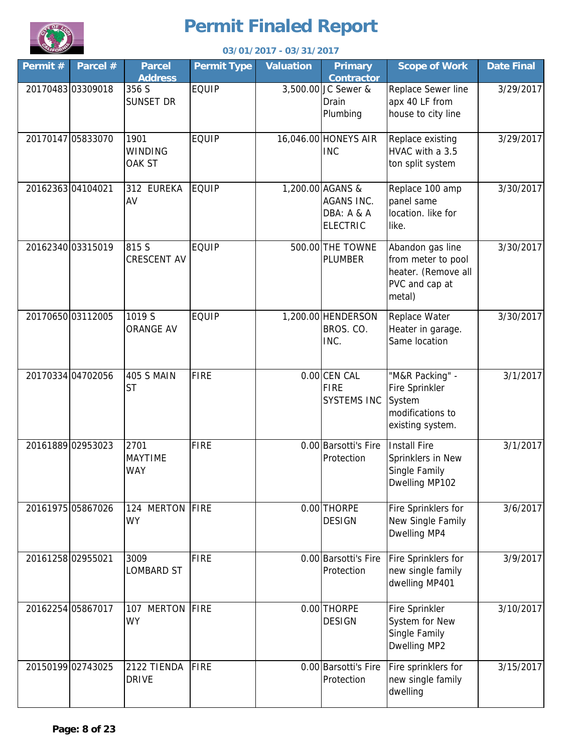

| 03/01/2017 - 03/31/2017 |                   |                                   |                    |                  |                                                                        |                                                                                           |                   |
|-------------------------|-------------------|-----------------------------------|--------------------|------------------|------------------------------------------------------------------------|-------------------------------------------------------------------------------------------|-------------------|
| Permit#                 | Parcel #          | <b>Parcel</b><br><b>Address</b>   | <b>Permit Type</b> | <b>Valuation</b> | <b>Primary</b><br><b>Contractor</b>                                    | <b>Scope of Work</b>                                                                      | <b>Date Final</b> |
|                         | 20170483 03309018 | 356 S<br><b>SUNSET DR</b>         | <b>EQUIP</b>       |                  | 3,500.00 JC Sewer &<br>Drain<br>Plumbing                               | Replace Sewer line<br>apx 40 LF from<br>house to city line                                | 3/29/2017         |
|                         | 20170147 05833070 | 1901<br><b>WINDING</b><br>OAK ST  | <b>EQUIP</b>       |                  | 16,046.00 HONEYS AIR<br><b>INC</b>                                     | Replace existing<br>HVAC with a 3.5<br>ton split system                                   | 3/29/2017         |
|                         | 20162363 04104021 | 312 EUREKA<br>AV                  | <b>EQUIP</b>       |                  | 1,200.00 AGANS &<br><b>AGANS INC.</b><br>DBA: A & A<br><b>ELECTRIC</b> | Replace 100 amp<br>panel same<br>location. like for<br>like.                              | 3/30/2017         |
|                         | 20162340 03315019 | 815 S<br><b>CRESCENT AV</b>       | <b>EQUIP</b>       |                  | 500.00 THE TOWNE<br><b>PLUMBER</b>                                     | Abandon gas line<br>from meter to pool<br>heater. (Remove all<br>PVC and cap at<br>metal) | 3/30/2017         |
|                         | 20170650 03112005 | 1019 S<br><b>ORANGE AV</b>        | <b>EQUIP</b>       |                  | 1,200.00 HENDERSON<br>BROS. CO.<br>INC.                                | Replace Water<br>Heater in garage.<br>Same location                                       | 3/30/2017         |
|                         | 20170334 04702056 | <b>405 S MAIN</b><br><b>ST</b>    | <b>FIRE</b>        |                  | 0.00 CEN CAL<br><b>FIRE</b><br><b>SYSTEMS INC</b>                      | "M&R Packing" -<br>Fire Sprinkler<br>System<br>modifications to<br>existing system.       | 3/1/2017          |
|                         | 20161889 02953023 | 2701<br><b>MAYTIME</b><br>WAY     | <b>FIRE</b>        |                  | 0.00 Barsotti's Fire<br>Protection                                     | <b>Install Fire</b><br>Sprinklers in New<br>Single Family<br>Dwelling MP102               | 3/1/2017          |
|                         | 20161975 05867026 | 124 MERTON<br><b>WY</b>           | <b>FIRE</b>        |                  | 0.00 THORPE<br><b>DESIGN</b>                                           | Fire Sprinklers for<br>New Single Family<br>Dwelling MP4                                  | 3/6/2017          |
|                         | 20161258 02955021 | 3009<br><b>LOMBARD ST</b>         | <b>FIRE</b>        |                  | 0.00 Barsotti's Fire<br>Protection                                     | Fire Sprinklers for<br>new single family<br>dwelling MP401                                | 3/9/2017          |
|                         | 20162254 05867017 | <b>MERTON</b><br>107<br><b>WY</b> | FIRE               |                  | 0.00 THORPE<br><b>DESIGN</b>                                           | Fire Sprinkler<br>System for New<br>Single Family<br>Dwelling MP2                         | 3/10/2017         |
|                         | 20150199 02743025 | 2122 TIENDA<br><b>DRIVE</b>       | FIRE               |                  | 0.00 Barsotti's Fire<br>Protection                                     | Fire sprinklers for<br>new single family<br>dwelling                                      | 3/15/2017         |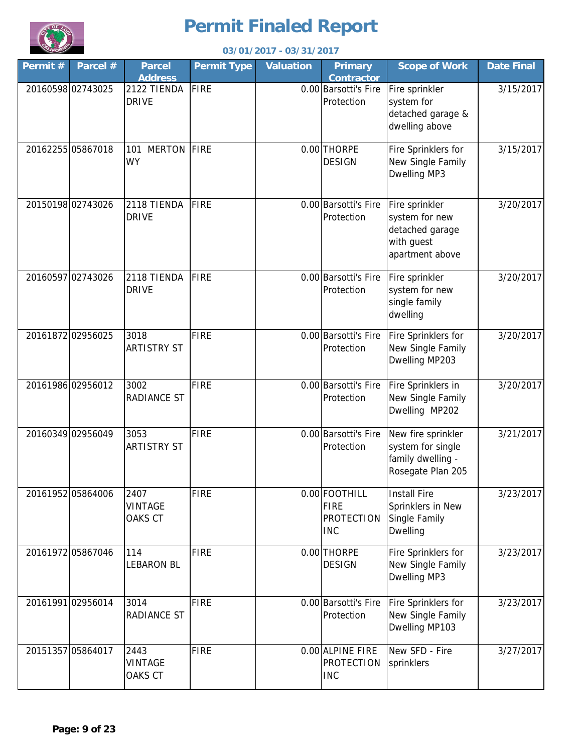

|         | 03/01/2017 - 03/31/2017 |                                   |                    |                  |                                                                 |                                                                                      |                   |  |
|---------|-------------------------|-----------------------------------|--------------------|------------------|-----------------------------------------------------------------|--------------------------------------------------------------------------------------|-------------------|--|
| Permit# | Parcel #                | <b>Parcel</b><br><b>Address</b>   | <b>Permit Type</b> | <b>Valuation</b> | <b>Primary</b><br><b>Contractor</b>                             | <b>Scope of Work</b>                                                                 | <b>Date Final</b> |  |
|         | 20160598 02743025       | 2122 TIENDA<br><b>DRIVE</b>       | FIRE               |                  | 0.00 Barsotti's Fire<br>Protection                              | Fire sprinkler<br>system for<br>detached garage &<br>dwelling above                  | 3/15/2017         |  |
|         | 20162255 05867018       | <b>MERTON</b><br>101<br><b>WY</b> | <b>FIRE</b>        |                  | 0.00 THORPE<br><b>DESIGN</b>                                    | Fire Sprinklers for<br>New Single Family<br>Dwelling MP3                             | 3/15/2017         |  |
|         | 20150198 02743026       | 2118 TIENDA<br><b>DRIVE</b>       | FIRE               |                  | 0.00 Barsotti's Fire<br>Protection                              | Fire sprinkler<br>system for new<br>detached garage<br>with guest<br>apartment above | 3/20/2017         |  |
|         | 20160597 02743026       | 2118 TIENDA<br><b>DRIVE</b>       | FIRE               |                  | 0.00 Barsotti's Fire<br>Protection                              | Fire sprinkler<br>system for new<br>single family<br>dwelling                        | 3/20/2017         |  |
|         | 20161872 02956025       | 3018<br><b>ARTISTRY ST</b>        | <b>FIRE</b>        |                  | 0.00 Barsotti's Fire<br>Protection                              | Fire Sprinklers for<br>New Single Family<br>Dwelling MP203                           | 3/20/2017         |  |
|         | 20161986 02956012       | 3002<br><b>RADIANCE ST</b>        | <b>FIRE</b>        |                  | 0.00 Barsotti's Fire<br>Protection                              | Fire Sprinklers in<br>New Single Family<br>Dwelling MP202                            | 3/20/2017         |  |
|         | 20160349 02956049       | 3053<br><b>ARTISTRY ST</b>        | <b>FIRE</b>        |                  | 0.00 Barsotti's Fire<br>Protection                              | New fire sprinkler<br>system for single<br>family dwelling -<br>Rosegate Plan 205    | 3/21/2017         |  |
|         | 20161952 05864006       | 2407<br><b>VINTAGE</b><br>OAKS CT | <b>FIRE</b>        |                  | 0.00 FOOTHILL<br><b>FIRE</b><br><b>PROTECTION</b><br><b>INC</b> | <b>Install Fire</b><br>Sprinklers in New<br>Single Family<br>Dwelling                | 3/23/2017         |  |
|         | 20161972 05867046       | 114<br><b>LEBARON BL</b>          | <b>FIRE</b>        |                  | 0.00 THORPE<br><b>DESIGN</b>                                    | Fire Sprinklers for<br>New Single Family<br>Dwelling MP3                             | 3/23/2017         |  |
|         | 20161991 02956014       | 3014<br><b>RADIANCE ST</b>        | <b>FIRE</b>        |                  | 0.00 Barsotti's Fire<br>Protection                              | Fire Sprinklers for<br>New Single Family<br>Dwelling MP103                           | 3/23/2017         |  |
|         | 20151357 05864017       | 2443<br><b>VINTAGE</b><br>OAKS CT | <b>FIRE</b>        |                  | 0.00 ALPINE FIRE<br><b>PROTECTION</b><br><b>INC</b>             | New SFD - Fire<br>sprinklers                                                         | 3/27/2017         |  |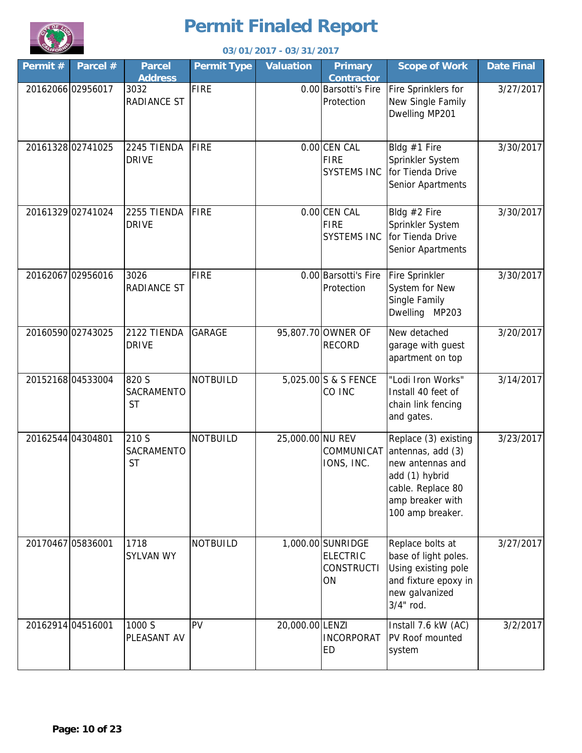

|                   | 03/01/2017 - 03/31/2017 |                                  |                    |                  |                                                                 |                                                                                                                                              |                   |  |  |
|-------------------|-------------------------|----------------------------------|--------------------|------------------|-----------------------------------------------------------------|----------------------------------------------------------------------------------------------------------------------------------------------|-------------------|--|--|
| Permit#           | Parcel #                | <b>Parcel</b><br><b>Address</b>  | <b>Permit Type</b> | <b>Valuation</b> | <b>Primary</b><br><b>Contractor</b>                             | <b>Scope of Work</b>                                                                                                                         | <b>Date Final</b> |  |  |
| 20162066 02956017 |                         | 3032<br>RADIANCE ST              | <b>FIRE</b>        |                  | 0.00 Barsotti's Fire<br>Protection                              | Fire Sprinklers for<br>New Single Family<br>Dwelling MP201                                                                                   | 3/27/2017         |  |  |
|                   | 20161328 02741025       | 2245 TIENDA<br><b>DRIVE</b>      | <b>FIRE</b>        |                  | $0.00$ CEN CAL<br><b>FIRE</b><br><b>SYSTEMS INC</b>             | Bldg #1 Fire<br>Sprinkler System<br>for Tienda Drive<br>Senior Apartments                                                                    | 3/30/2017         |  |  |
|                   | 20161329 02741024       | 2255 TIENDA<br><b>DRIVE</b>      | <b>FIRE</b>        |                  | $0.00$ CEN CAL<br><b>FIRE</b><br><b>SYSTEMS INC</b>             | Bldg #2 Fire<br>Sprinkler System<br>for Tienda Drive<br>Senior Apartments                                                                    | 3/30/2017         |  |  |
|                   | 20162067 02956016       | 3026<br>RADIANCE ST              | <b>FIRE</b>        |                  | 0.00 Barsotti's Fire<br>Protection                              | Fire Sprinkler<br>System for New<br>Single Family<br>Dwelling MP203                                                                          | 3/30/2017         |  |  |
| 20160590 02743025 |                         | 2122 TIENDA<br><b>DRIVE</b>      | <b>GARAGE</b>      |                  | 95,807.70 OWNER OF<br><b>RECORD</b>                             | New detached<br>garage with guest<br>apartment on top                                                                                        | 3/20/2017         |  |  |
|                   | 20152168 04533004       | 820 S<br>SACRAMENTO<br><b>ST</b> | <b>NOTBUILD</b>    |                  | 5,025.00 S & S FENCE<br>CO INC                                  | "Lodi Iron Works"<br>Install 40 feet of<br>chain link fencing<br>and gates.                                                                  | 3/14/2017         |  |  |
| 20162544 04304801 |                         | 210 S<br>SACRAMENTO<br><b>ST</b> | <b>NOTBUILD</b>    | 25,000.00 NU REV | COMMUNICAT<br>IONS, INC.                                        | Replace (3) existing<br>antennas, add (3)<br>new antennas and<br>add (1) hybrid<br>cable. Replace 80<br>amp breaker with<br>100 amp breaker. | 3/23/2017         |  |  |
| 20170467 05836001 |                         | 1718<br><b>SYLVAN WY</b>         | <b>NOTBUILD</b>    |                  | 1,000.00 SUNRIDGE<br><b>ELECTRIC</b><br><b>CONSTRUCTI</b><br>ON | Replace bolts at<br>base of light poles.<br>Using existing pole<br>and fixture epoxy in<br>new galvanized<br>3/4" rod.                       | 3/27/2017         |  |  |
| 20162914 04516001 |                         | 1000 S<br>PLEASANT AV            | PV                 | 20,000.00 LENZI  | <b>INCORPORAT</b><br>ED                                         | Install 7.6 kW (AC)<br>PV Roof mounted<br>system                                                                                             | 3/2/2017          |  |  |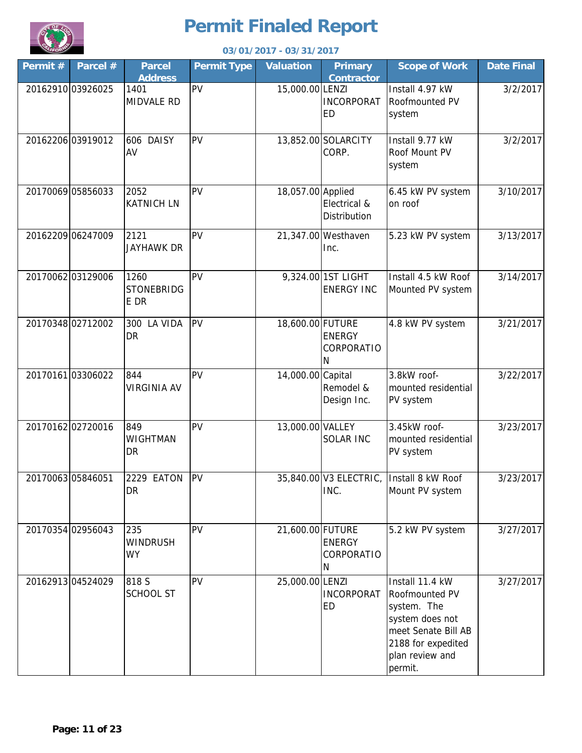

|          | 03/01/2017 - 03/31/2017 |                                     |                    |                   |                                             |                                                                                                                                                |                   |  |  |
|----------|-------------------------|-------------------------------------|--------------------|-------------------|---------------------------------------------|------------------------------------------------------------------------------------------------------------------------------------------------|-------------------|--|--|
| Permit # | Parcel #                | <b>Parcel</b><br><b>Address</b>     | <b>Permit Type</b> | <b>Valuation</b>  | <b>Primary</b><br><b>Contractor</b>         | <b>Scope of Work</b>                                                                                                                           | <b>Date Final</b> |  |  |
|          | 20162910 03926025       | 1401<br><b>MIDVALE RD</b>           | PV                 | 15,000.00 LENZI   | <b>INCORPORAT</b><br>ED                     | Install 4.97 kW<br>Roofmounted PV<br>system                                                                                                    | 3/2/2017          |  |  |
|          | 20162206 03919012       | 606 DAISY<br>AV                     | PV                 |                   | 13,852.00 SOLARCITY<br>CORP.                | Install 9.77 kW<br>Roof Mount PV<br>system                                                                                                     | 3/2/2017          |  |  |
|          | 20170069 05856033       | 2052<br><b>KATNICH LN</b>           | PV                 | 18,057.00 Applied | Electrical &<br>Distribution                | 6.45 kW PV system<br>on roof                                                                                                                   | 3/10/2017         |  |  |
|          | 20162209 06247009       | 2121<br>JAYHAWK DR                  | PV                 |                   | 21,347.00 Westhaven<br>Inc.                 | 5.23 kW PV system                                                                                                                              | 3/13/2017         |  |  |
|          | 20170062 03129006       | 1260<br><b>STONEBRIDG</b><br>E DR   | PV                 |                   | 9,324.00 1ST LIGHT<br><b>ENERGY INC</b>     | Install 4.5 kW Roof<br>Mounted PV system                                                                                                       | 3/14/2017         |  |  |
|          | 20170348 02712002       | 300 LA VIDA<br>DR                   | PV                 | 18,600.00 FUTURE  | <b>ENERGY</b><br>CORPORATIO<br>$\mathsf{N}$ | 4.8 kW PV system                                                                                                                               | 3/21/2017         |  |  |
|          | 20170161 03306022       | 844<br><b>VIRGINIA AV</b>           | PV                 | 14,000.00 Capital | Remodel &<br>Design Inc.                    | 3.8kW roof-<br>mounted residential<br>PV system                                                                                                | 3/22/2017         |  |  |
|          | 20170162 02720016       | 849<br><b>WIGHTMAN</b><br><b>DR</b> | PV                 | 13,000.00 VALLEY  | <b>SOLAR INC</b>                            | 3.45kW roof-<br>mounted residential<br>PV system                                                                                               | 3/23/2017         |  |  |
|          | 20170063 05846051       | 2229 EATON<br><b>DR</b>             | PV                 |                   | 35,840.00 V3 ELECTRIC,<br>INC.              | Install 8 kW Roof<br>Mount PV system                                                                                                           | 3/23/2017         |  |  |
|          | 20170354 02956043       | 235<br><b>WINDRUSH</b><br><b>WY</b> | PV                 | 21,600.00 FUTURE  | <b>ENERGY</b><br>CORPORATIO<br>N            | 5.2 kW PV system                                                                                                                               | 3/27/2017         |  |  |
|          | 20162913 04524029       | 818 S<br><b>SCHOOL ST</b>           | PV                 | 25,000.00 LENZI   | <b>INCORPORAT</b><br>ED                     | Install 11.4 kW<br>Roofmounted PV<br>system. The<br>system does not<br>meet Senate Bill AB<br>2188 for expedited<br>plan review and<br>permit. | 3/27/2017         |  |  |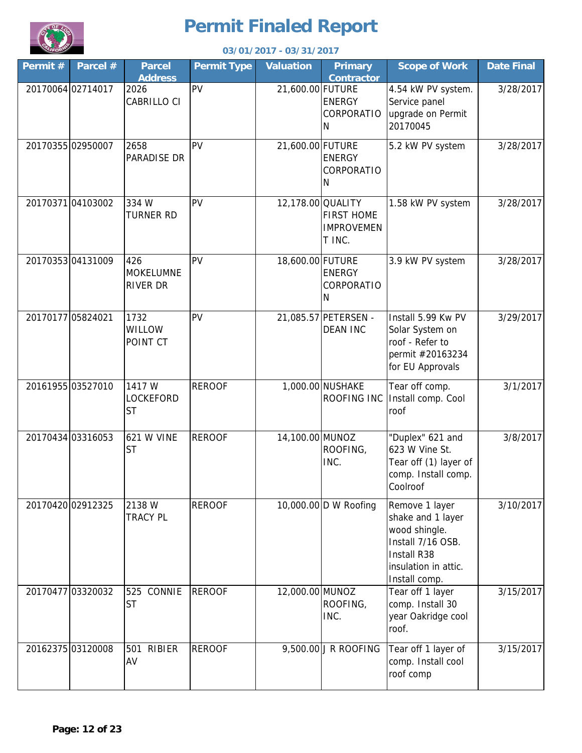

| 03/01/2017 - 03/31/2017 |                   |                                            |                    |                   |                                                  |                                                                                                                                   |                   |
|-------------------------|-------------------|--------------------------------------------|--------------------|-------------------|--------------------------------------------------|-----------------------------------------------------------------------------------------------------------------------------------|-------------------|
| Permit#                 | Parcel #          | <b>Parcel</b><br><b>Address</b>            | <b>Permit Type</b> | <b>Valuation</b>  | <b>Primary</b><br><b>Contractor</b>              | <b>Scope of Work</b>                                                                                                              | <b>Date Final</b> |
|                         | 20170064 02714017 | 2026<br>CABRILLO CI                        | PV                 | 21,600.00 FUTURE  | <b>ENERGY</b><br>CORPORATIO<br>N                 | 4.54 kW PV system.<br>Service panel<br>upgrade on Permit<br>20170045                                                              | 3/28/2017         |
|                         | 20170355 02950007 | 2658<br>PARADISE DR                        | PV                 | 21,600.00 FUTURE  | <b>ENERGY</b><br>CORPORATIO<br>N                 | 5.2 kW PV system                                                                                                                  | 3/28/2017         |
|                         | 20170371 04103002 | 334 W<br>TURNER RD                         | PV                 | 12,178.00 QUALITY | <b>FIRST HOME</b><br><b>IMPROVEMEN</b><br>T INC. | 1.58 kW PV system                                                                                                                 | 3/28/2017         |
|                         | 20170353 04131009 | 426<br><b>MOKELUMNE</b><br><b>RIVER DR</b> | PV                 | 18,600.00 FUTURE  | <b>ENERGY</b><br><b>CORPORATIO</b><br>N          | 3.9 kW PV system                                                                                                                  | 3/28/2017         |
| 2017017705824021        |                   | 1732<br>WILLOW<br>POINT CT                 | PV                 |                   | 21,085.57 PETERSEN -<br><b>DEAN INC</b>          | Install 5.99 Kw PV<br>Solar System on<br>roof - Refer to<br>permit #20163234<br>for EU Approvals                                  | 3/29/2017         |
|                         | 20161955 03527010 | 1417 W<br>LOCKEFORD<br><b>ST</b>           | <b>REROOF</b>      |                   | 1,000.00 NUSHAKE<br>ROOFING INC                  | Tear off comp.<br>Install comp. Cool<br>roof                                                                                      | 3/1/2017          |
|                         | 20170434 03316053 | <b>621 W VINE</b><br><b>ST</b>             | <b>REROOF</b>      | 14,100.00 MUNOZ   | ROOFING,<br>INC.                                 | "Duplex" 621 and<br>623 W Vine St.<br>Tear off (1) layer of<br>comp. Install comp.<br>Coolroof                                    | 3/8/2017          |
|                         | 20170420 02912325 | 2138 W<br><b>TRACY PL</b>                  | <b>REROOF</b>      |                   | 10,000.00 D W Roofing                            | Remove 1 layer<br>shake and 1 layer<br>wood shingle.<br>Install 7/16 OSB.<br>Install R38<br>insulation in attic.<br>Install comp. | 3/10/2017         |
|                         | 20170477 03320032 | 525 CONNIE<br><b>ST</b>                    | <b>REROOF</b>      | 12,000.00 MUNOZ   | ROOFING,<br>INC.                                 | Tear off 1 layer<br>comp. Install 30<br>year Oakridge cool<br>roof.                                                               | 3/15/2017         |
| 20162375 03120008       |                   | <b>RIBIER</b><br>501<br>AV                 | <b>REROOF</b>      |                   | 9,500.00 J R ROOFING                             | Tear off 1 layer of<br>comp. Install cool<br>roof comp                                                                            | 3/15/2017         |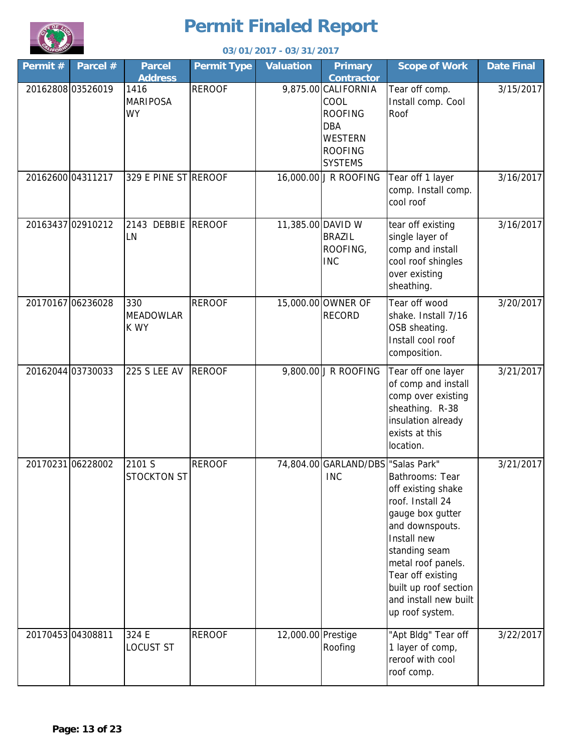

|                   | 03/01/2017 - 03/31/2017 |                                      |                    |                    |                                                                                                                   |                                                                                                                                                                                                                                                  |                   |  |  |  |
|-------------------|-------------------------|--------------------------------------|--------------------|--------------------|-------------------------------------------------------------------------------------------------------------------|--------------------------------------------------------------------------------------------------------------------------------------------------------------------------------------------------------------------------------------------------|-------------------|--|--|--|
| Permit#           | Parcel $#$              | <b>Parcel</b><br><b>Address</b>      | <b>Permit Type</b> | <b>Valuation</b>   | <b>Primary</b><br><b>Contractor</b>                                                                               | <b>Scope of Work</b>                                                                                                                                                                                                                             | <b>Date Final</b> |  |  |  |
| 20162808 03526019 |                         | 1416<br><b>MARIPOSA</b><br><b>WY</b> | <b>REROOF</b>      |                    | 9,875.00 CALIFORNIA<br>COOL<br><b>ROOFING</b><br><b>DBA</b><br><b>WESTERN</b><br><b>ROOFING</b><br><b>SYSTEMS</b> | Tear off comp.<br>Install comp. Cool<br>Roof                                                                                                                                                                                                     | 3/15/2017         |  |  |  |
| 20162600 04311217 |                         | 329 E PINE ST REROOF                 |                    |                    | 16,000.00 J R ROOFING                                                                                             | Tear off 1 layer<br>comp. Install comp.<br>cool roof                                                                                                                                                                                             | 3/16/2017         |  |  |  |
|                   | 20163437 02910212       | 2143 DEBBIE REROOF<br>LN             |                    | 11,385.00 DAVID W  | <b>BRAZIL</b><br>ROOFING,<br><b>INC</b>                                                                           | tear off existing<br>single layer of<br>comp and install<br>cool roof shingles<br>over existing<br>sheathing.                                                                                                                                    | 3/16/2017         |  |  |  |
| 20170167 06236028 |                         | 330<br><b>MEADOWLAR</b><br>K WY      | <b>REROOF</b>      |                    | 15,000.00 OWNER OF<br><b>RECORD</b>                                                                               | Tear off wood<br>shake. Install 7/16<br>OSB sheating.<br>Install cool roof<br>composition.                                                                                                                                                       | 3/20/2017         |  |  |  |
| 20162044 03730033 |                         | <b>225 S LEE AV</b>                  | <b>REROOF</b>      |                    | 9,800.00 J R ROOFING                                                                                              | Tear off one layer<br>of comp and install<br>comp over existing<br>sheathing. R-38<br>insulation already<br>exists at this<br>location.                                                                                                          | 3/21/2017         |  |  |  |
|                   | 20170231 06228002       | 2101 S<br><b>STOCKTON ST</b>         | <b>REROOF</b>      |                    | 74,804.00 GARLAND/DBS 'Salas Park"<br><b>INC</b>                                                                  | Bathrooms: Tear<br>off existing shake<br>roof. Install 24<br>gauge box gutter<br>and downspouts.<br>Install new<br>standing seam<br>metal roof panels.<br>Tear off existing<br>built up roof section<br>and install new built<br>up roof system. | 3/21/2017         |  |  |  |
| 20170453 04308811 |                         | 324 E<br><b>LOCUST ST</b>            | <b>REROOF</b>      | 12,000.00 Prestige | Roofing                                                                                                           | "Apt Bldg" Tear off<br>1 layer of comp,<br>reroof with cool<br>roof comp.                                                                                                                                                                        | 3/22/2017         |  |  |  |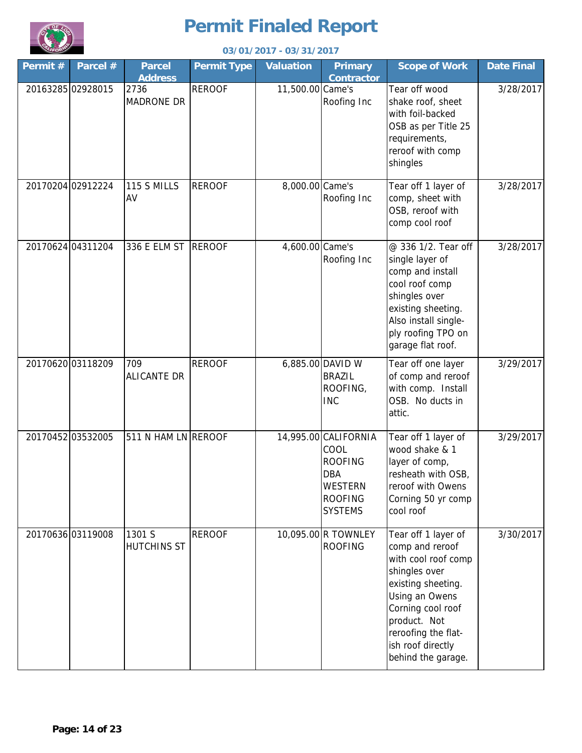

|         | 03/01/2017 - 03/31/2017 |                                 |                    |                  |                                                                                                      |                                                                                                                                                                                                                               |                   |  |  |
|---------|-------------------------|---------------------------------|--------------------|------------------|------------------------------------------------------------------------------------------------------|-------------------------------------------------------------------------------------------------------------------------------------------------------------------------------------------------------------------------------|-------------------|--|--|
| Permit# | Parcel #                | <b>Parcel</b><br><b>Address</b> | <b>Permit Type</b> | <b>Valuation</b> | <b>Primary</b><br><b>Contractor</b>                                                                  | <b>Scope of Work</b>                                                                                                                                                                                                          | <b>Date Final</b> |  |  |
|         | 20163285 02928015       | 2736<br><b>MADRONE DR</b>       | <b>REROOF</b>      | 11,500.00 Came's | Roofing Inc                                                                                          | Tear off wood<br>shake roof, sheet<br>with foil-backed<br>OSB as per Title 25<br>requirements,<br>reroof with comp<br>shingles                                                                                                | 3/28/2017         |  |  |
|         | 20170204 02912224       | 115 S MILLS<br>AV               | <b>REROOF</b>      | 8,000.00 Came's  | Roofing Inc                                                                                          | Tear off 1 layer of<br>comp, sheet with<br>OSB, reroof with<br>comp cool roof                                                                                                                                                 | 3/28/2017         |  |  |
|         | 20170624 04311204       | 336 E ELM ST REROOF             |                    | 4,600.00 Came's  | Roofing Inc                                                                                          | @ 336 1/2. Tear off<br>single layer of<br>comp and install<br>cool roof comp<br>shingles over<br>existing sheeting.<br>Also install single-<br>ply roofing TPO on<br>garage flat roof.                                        | 3/28/2017         |  |  |
|         | 20170620 03118209       | 709<br><b>ALICANTE DR</b>       | <b>REROOF</b>      |                  | 6,885.00 DAVID W<br><b>BRAZIL</b><br>ROOFING,<br><b>INC</b>                                          | Tear off one layer<br>of comp and reroof<br>with comp. Install<br>OSB. No ducts in<br>attic.                                                                                                                                  | 3/29/2017         |  |  |
|         | 20170452 03532005       | 511 N HAM LN REROOF             |                    |                  | 14,995.00 CALIFORNIA<br>COOL<br><b>ROOFING</b><br><b>DBA</b><br>WESTERN<br>ROOFING<br><b>SYSTEMS</b> | Tear off 1 layer of<br>wood shake & 1<br>layer of comp,<br>resheath with OSB,<br>reroof with Owens<br>Corning 50 yr comp<br>cool roof                                                                                         | 3/29/2017         |  |  |
|         | 20170636 03119008       | 1301 S<br><b>HUTCHINS ST</b>    | <b>REROOF</b>      |                  | 10,095.00 R TOWNLEY<br>ROOFING                                                                       | Tear off 1 layer of<br>comp and reroof<br>with cool roof comp<br>shingles over<br>existing sheeting.<br>Using an Owens<br>Corning cool roof<br>product. Not<br>reroofing the flat-<br>ish roof directly<br>behind the garage. | 3/30/2017         |  |  |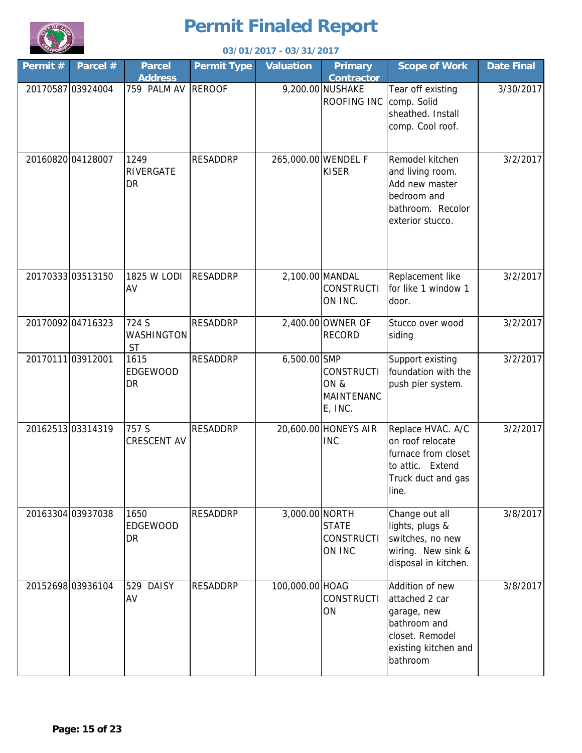

|         | 03/01/2017 - 03/31/2017 |                                  |                    |                     |                                                          |                                                                                                                         |                   |  |  |  |
|---------|-------------------------|----------------------------------|--------------------|---------------------|----------------------------------------------------------|-------------------------------------------------------------------------------------------------------------------------|-------------------|--|--|--|
| Permit# | Parcel #                | <b>Parcel</b><br><b>Address</b>  | <b>Permit Type</b> | <b>Valuation</b>    | <b>Primary</b><br><b>Contractor</b>                      | <b>Scope of Work</b>                                                                                                    | <b>Date Final</b> |  |  |  |
|         | 20170587 03924004       | 759 PALM AV                      | <b>REROOF</b>      |                     | 9,200.00 NUSHAKE<br>ROOFING INC                          | Tear off existing<br>comp. Solid<br>sheathed. Install<br>comp. Cool roof.                                               | 3/30/2017         |  |  |  |
|         | 20160820 04128007       | 1249<br>RIVERGATE<br>DR          | <b>RESADDRP</b>    | 265,000.00 WENDEL F | <b>KISER</b>                                             | Remodel kitchen<br>and living room.<br>Add new master<br>bedroom and<br>bathroom. Recolor<br>exterior stucco.           | 3/2/2017          |  |  |  |
|         | 20170333 03513150       | 1825 W LODI<br>AV                | <b>RESADDRP</b>    | 2,100.00 MANDAL     | <b>CONSTRUCTI</b><br>ON INC.                             | Replacement like<br>for like 1 window 1<br>door.                                                                        | 3/2/2017          |  |  |  |
|         | 20170092 04716323       | 724 S<br>WASHINGTON<br><b>ST</b> | <b>RESADDRP</b>    |                     | 2,400.00 OWNER OF<br><b>RECORD</b>                       | Stucco over wood<br>siding                                                                                              | 3/2/2017          |  |  |  |
|         | 2017011103912001        | 1615<br><b>EDGEWOOD</b><br>DR    | <b>RESADDRP</b>    | 6,500.00 SMP        | <b>CONSTRUCTI</b><br>ON&<br><b>MAINTENANC</b><br>E, INC. | Support existing<br>foundation with the<br>push pier system.                                                            | 3/2/2017          |  |  |  |
|         | 20162513 03314319       | 757 S<br>CRESCENT AV             | <b>RESADDRP</b>    |                     | 20,600.00 HONEYS AIR<br><b>INC</b>                       | Replace HVAC. A/C<br>on roof relocate<br>furnace from closet<br>to attic. Extend<br>Truck duct and gas<br>line.         | 3/2/2017          |  |  |  |
|         | 20163304 03937038       | 1650<br><b>EDGEWOOD</b><br>DR    | <b>RESADDRP</b>    | 3,000.00 NORTH      | <b>STATE</b><br><b>CONSTRUCTI</b><br>ON INC              | Change out all<br>lights, plugs &<br>switches, no new<br>wiring. New sink &<br>disposal in kitchen.                     | 3/8/2017          |  |  |  |
|         | 20152698 03936104       | <b>DAISY</b><br>529<br>AV        | <b>RESADDRP</b>    | 100,000.00 HOAG     | <b>CONSTRUCTI</b><br>ON                                  | Addition of new<br>attached 2 car<br>garage, new<br>bathroom and<br>closet. Remodel<br>existing kitchen and<br>bathroom | 3/8/2017          |  |  |  |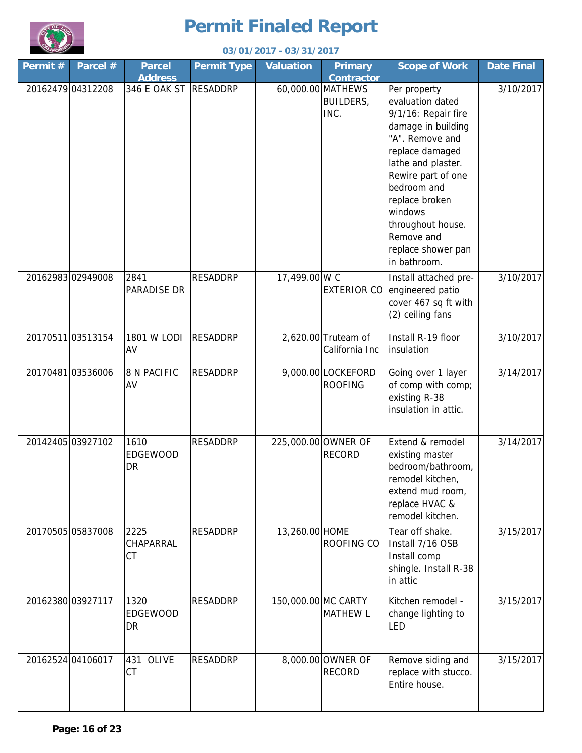

|         | 03/01/2017 - 03/31/2017 |                                 |                    |                     |                                               |                                                                                                                                                                                                                                                                                      |                   |  |  |  |
|---------|-------------------------|---------------------------------|--------------------|---------------------|-----------------------------------------------|--------------------------------------------------------------------------------------------------------------------------------------------------------------------------------------------------------------------------------------------------------------------------------------|-------------------|--|--|--|
| Permit# | Parcel #                | <b>Parcel</b><br><b>Address</b> | <b>Permit Type</b> | <b>Valuation</b>    | <b>Primary</b><br><b>Contractor</b>           | <b>Scope of Work</b>                                                                                                                                                                                                                                                                 | <b>Date Final</b> |  |  |  |
|         | 20162479 04312208       | 346 E OAK ST                    | <b>RESADDRP</b>    |                     | 60,000.00 MATHEWS<br><b>BUILDERS,</b><br>INC. | Per property<br>evaluation dated<br>9/1/16: Repair fire<br>damage in building<br>"A". Remove and<br>replace damaged<br>lathe and plaster.<br>Rewire part of one<br>bedroom and<br>replace broken<br>windows<br>throughout house.<br>Remove and<br>replace shower pan<br>in bathroom. | 3/10/2017         |  |  |  |
|         | 20162983 02949008       | 2841<br>PARADISE DR             | <b>RESADDRP</b>    | 17,499.00 W C       | <b>EXTERIOR CO</b>                            | Install attached pre-<br>engineered patio<br>cover 467 sq ft with<br>(2) ceiling fans                                                                                                                                                                                                | 3/10/2017         |  |  |  |
|         | 20170511 03513154       | 1801 W LODI<br>AV               | <b>RESADDRP</b>    |                     | 2,620.00 Truteam of<br>California Inc         | Install R-19 floor<br>insulation                                                                                                                                                                                                                                                     | 3/10/2017         |  |  |  |
|         | 20170481 03536006       | <b>8 N PACIFIC</b><br>AV        | <b>RESADDRP</b>    |                     | 9,000.00 LOCKEFORD<br><b>ROOFING</b>          | Going over 1 layer<br>of comp with comp;<br>existing R-38<br>insulation in attic.                                                                                                                                                                                                    | 3/14/2017         |  |  |  |
|         | 20142405 03927102       | 1610<br><b>EDGEWOOD</b><br>DR   | <b>RESADDRP</b>    |                     | 225,000.00 OWNER OF<br><b>RECORD</b>          | Extend & remodel<br>existing master<br>bedroom/bathroom,<br>remodel kitchen,<br>extend mud room,<br>replace HVAC &<br>remodel kitchen.                                                                                                                                               | 3/14/2017         |  |  |  |
|         | 20170505 05837008       | 2225<br>CHAPARRAL<br>CT         | <b>RESADDRP</b>    | 13,260.00 HOME      | ROOFING CO                                    | Tear off shake.<br>Install 7/16 OSB<br>Install comp<br>shingle. Install R-38<br>in attic                                                                                                                                                                                             | 3/15/2017         |  |  |  |
|         | 20162380 03927117       | 1320<br>EDGEWOOD<br>DR          | <b>RESADDRP</b>    | 150,000.00 MC CARTY | <b>MATHEW L</b>                               | Kitchen remodel -<br>change lighting to<br>LED                                                                                                                                                                                                                                       | 3/15/2017         |  |  |  |
|         | 20162524 04106017       | OLIVE<br>431<br>CT              | <b>RESADDRP</b>    |                     | 8,000.00 OWNER OF<br><b>RECORD</b>            | Remove siding and<br>replace with stucco.<br>Entire house.                                                                                                                                                                                                                           | 3/15/2017         |  |  |  |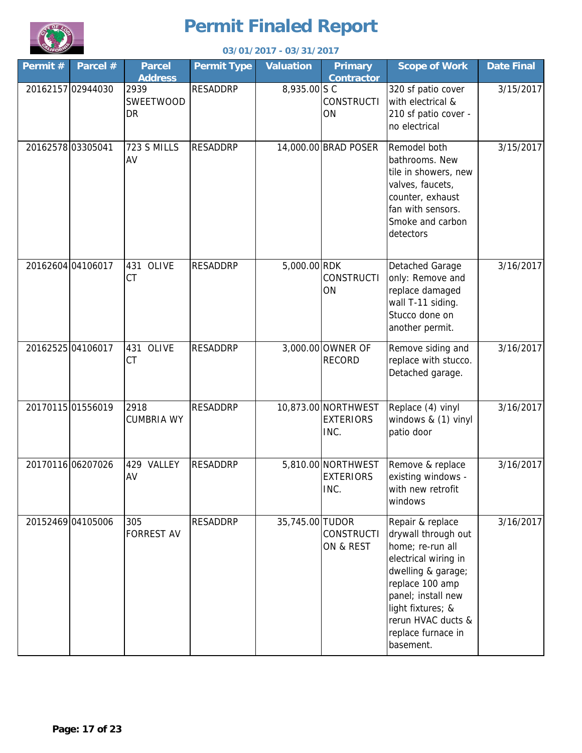

|                   | 03/01/2017 - 03/31/2017 |                                 |                    |                  |                                                 |                                                                                                                                                                                                                                  |                   |  |  |
|-------------------|-------------------------|---------------------------------|--------------------|------------------|-------------------------------------------------|----------------------------------------------------------------------------------------------------------------------------------------------------------------------------------------------------------------------------------|-------------------|--|--|
| Permit#           | Parcel #                | <b>Parcel</b><br><b>Address</b> | <b>Permit Type</b> | <b>Valuation</b> | <b>Primary</b><br><b>Contractor</b>             | <b>Scope of Work</b>                                                                                                                                                                                                             | <b>Date Final</b> |  |  |
|                   | 20162157 02944030       | 2939<br>SWEETWOOD<br>DR         | <b>RESADDRP</b>    | 8,935.00 S C     | <b>CONSTRUCTI</b><br>ON                         | 320 sf patio cover<br>with electrical &<br>210 sf patio cover -<br>no electrical                                                                                                                                                 | 3/15/2017         |  |  |
| 20162578 03305041 |                         | 723 S MILLS<br>AV               | <b>RESADDRP</b>    |                  | 14,000.00 BRAD POSER                            | Remodel both<br>bathrooms. New<br>tile in showers, new<br>valves, faucets,<br>counter, exhaust<br>fan with sensors.<br>Smoke and carbon<br>detectors                                                                             | 3/15/2017         |  |  |
|                   | 20162604 04106017       | 431<br>OLIVE<br><b>CT</b>       | <b>RESADDRP</b>    | 5,000.00 RDK     | <b>CONSTRUCTI</b><br>ON                         | Detached Garage<br>only: Remove and<br>replace damaged<br>wall T-11 siding.<br>Stucco done on<br>another permit.                                                                                                                 | 3/16/2017         |  |  |
|                   | 20162525 04106017       | 431 OLIVE<br>CT                 | <b>RESADDRP</b>    |                  | 3,000.00 OWNER OF<br><b>RECORD</b>              | Remove siding and<br>replace with stucco.<br>Detached garage.                                                                                                                                                                    | 3/16/2017         |  |  |
|                   | 20170115 01556019       | 2918<br><b>CUMBRIA WY</b>       | <b>RESADDRP</b>    |                  | 10,873.00 NORTHWEST<br><b>EXTERIORS</b><br>INC. | Replace (4) vinyl<br>windows & (1) vinyl<br>patio door                                                                                                                                                                           | 3/16/2017         |  |  |
|                   | 20170116 06207026       | 429 VALLEY<br>AV                | <b>RESADDRP</b>    |                  | 5,810.00 NORTHWEST<br><b>EXTERIORS</b><br>INC.  | Remove & replace<br>existing windows -<br>with new retrofit<br>windows                                                                                                                                                           | 3/16/2017         |  |  |
|                   | 20152469 04105006       | 305<br><b>FORREST AV</b>        | <b>RESADDRP</b>    | 35,745.00 TUDOR  | <b>CONSTRUCTI</b><br>ON & REST                  | Repair & replace<br>drywall through out<br>home; re-run all<br>electrical wiring in<br>dwelling & garage;<br>replace 100 amp<br>panel; install new<br>light fixtures; &<br>rerun HVAC ducts &<br>replace furnace in<br>basement. | 3/16/2017         |  |  |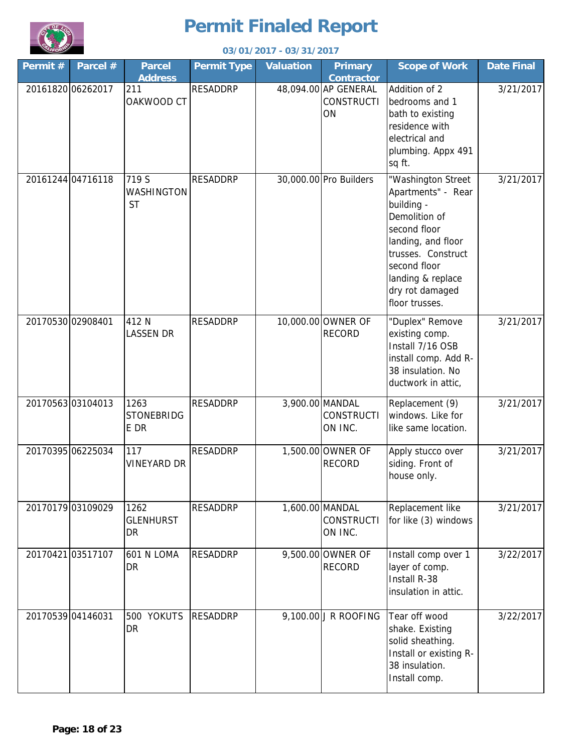

|                   | 03/01/2017 - 03/31/2017 |                                   |                    |                  |                                                 |                                                                                                                                                                                                               |                   |  |  |  |
|-------------------|-------------------------|-----------------------------------|--------------------|------------------|-------------------------------------------------|---------------------------------------------------------------------------------------------------------------------------------------------------------------------------------------------------------------|-------------------|--|--|--|
| Permit#           | Parcel #                | <b>Parcel</b><br><b>Address</b>   | <b>Permit Type</b> | <b>Valuation</b> | <b>Primary</b><br><b>Contractor</b>             | <b>Scope of Work</b>                                                                                                                                                                                          | <b>Date Final</b> |  |  |  |
| 20161820 06262017 |                         | 211<br>OAKWOOD CT                 | <b>RESADDRP</b>    |                  | 48,094.00 AP GENERAL<br><b>CONSTRUCTI</b><br>ON | Addition of 2<br>bedrooms and 1<br>bath to existing<br>residence with<br>electrical and<br>plumbing. Appx 491<br>sq ft.                                                                                       | 3/21/2017         |  |  |  |
|                   | 20161244 04716118       | 719 S<br>WASHINGTON<br><b>ST</b>  | <b>RESADDRP</b>    |                  | 30,000.00 Pro Builders                          | "Washington Street<br>Apartments" - Rear<br>building -<br>Demolition of<br>second floor<br>landing, and floor<br>trusses. Construct<br>second floor<br>landing & replace<br>dry rot damaged<br>floor trusses. | 3/21/2017         |  |  |  |
| 20170530 02908401 |                         | 412 N<br><b>LASSEN DR</b>         | <b>RESADDRP</b>    |                  | 10,000.00 OWNER OF<br><b>RECORD</b>             | "Duplex" Remove<br>existing comp.<br>Install 7/16 OSB<br>install comp. Add R-<br>38 insulation. No<br>ductwork in attic,                                                                                      | 3/21/2017         |  |  |  |
|                   | 2017056303104013        | 1263<br><b>STONEBRIDG</b><br>E DR | <b>RESADDRP</b>    | 3,900.00 MANDAL  | <b>CONSTRUCTI</b><br>ON INC.                    | Replacement (9)<br>windows. Like for<br>like same location.                                                                                                                                                   | 3/21/2017         |  |  |  |
|                   | 20170395 06225034       | 117<br><b>VINEYARD DR</b>         | <b>RESADDRP</b>    |                  | 1,500.00 OWNER OF<br><b>RECORD</b>              | Apply stucco over<br>siding. Front of<br>house only.                                                                                                                                                          | 3/21/2017         |  |  |  |
|                   | 20170179 03109029       | 1262<br><b>GLENHURST</b><br>DR    | <b>RESADDRP</b>    | 1,600.00 MANDAL  | <b>CONSTRUCTI</b><br>ON INC.                    | Replacement like<br>for like (3) windows                                                                                                                                                                      | 3/21/2017         |  |  |  |
|                   | 20170421 03517107       | 601 N LOMA<br>DR                  | <b>RESADDRP</b>    |                  | 9,500.00 OWNER OF<br><b>RECORD</b>              | Install comp over 1<br>layer of comp.<br>Install R-38<br>insulation in attic.                                                                                                                                 | 3/22/2017         |  |  |  |
| 20170539 04146031 |                         | 500 YOKUTS<br>DR                  | <b>RESADDRP</b>    |                  | 9,100.00 J R ROOFING                            | Tear off wood<br>shake. Existing<br>solid sheathing.<br>Install or existing R-<br>38 insulation.<br>Install comp.                                                                                             | 3/22/2017         |  |  |  |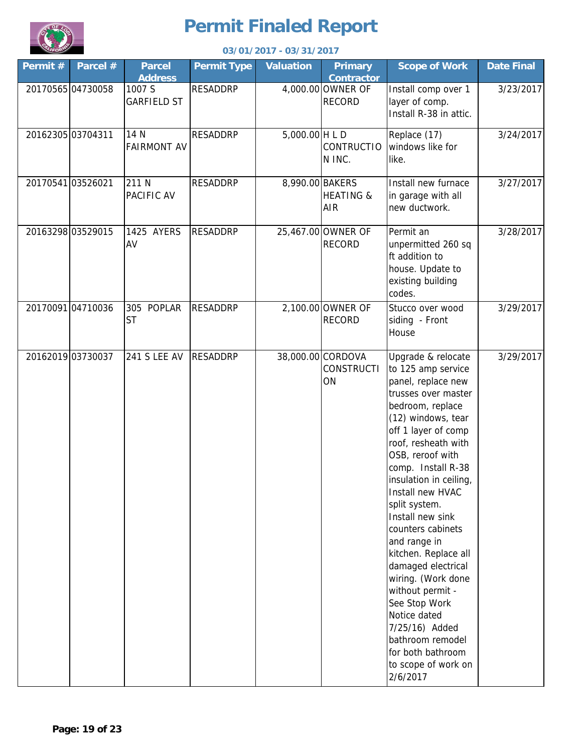

|         | 03/01/2017 - 03/31/2017 |                                 |                    |                  |                                              |                                                                                                                                                                                                                                                                                                                                                                                                                                                                                                                                                                        |                   |  |  |
|---------|-------------------------|---------------------------------|--------------------|------------------|----------------------------------------------|------------------------------------------------------------------------------------------------------------------------------------------------------------------------------------------------------------------------------------------------------------------------------------------------------------------------------------------------------------------------------------------------------------------------------------------------------------------------------------------------------------------------------------------------------------------------|-------------------|--|--|
| Permit# | Parcel #                | <b>Parcel</b><br><b>Address</b> | <b>Permit Type</b> | <b>Valuation</b> | <b>Primary</b><br><b>Contractor</b>          | <b>Scope of Work</b>                                                                                                                                                                                                                                                                                                                                                                                                                                                                                                                                                   | <b>Date Final</b> |  |  |
|         | 20170565 04730058       | 1007 S<br><b>GARFIELD ST</b>    | <b>RESADDRP</b>    |                  | 4,000.00 OWNER OF<br><b>RECORD</b>           | Install comp over 1<br>layer of comp.<br>Install R-38 in attic.                                                                                                                                                                                                                                                                                                                                                                                                                                                                                                        | 3/23/2017         |  |  |
|         | 20162305 03704311       | 14 N<br><b>FAIRMONT AV</b>      | <b>RESADDRP</b>    | $5,000.00$ H L D | <b>CONTRUCTIO</b><br>N INC.                  | Replace (17)<br>windows like for<br>like.                                                                                                                                                                                                                                                                                                                                                                                                                                                                                                                              | 3/24/2017         |  |  |
|         | 20170541 03526021       | 211 N<br>PACIFIC AV             | <b>RESADDRP</b>    | 8,990.00 BAKERS  | <b>HEATING &amp;</b><br>AIR                  | Install new furnace<br>in garage with all<br>new ductwork.                                                                                                                                                                                                                                                                                                                                                                                                                                                                                                             | 3/27/2017         |  |  |
|         | 20163298 03529015       | 1425 AYERS<br>AV                | <b>RESADDRP</b>    |                  | 25,467.00 OWNER OF<br><b>RECORD</b>          | Permit an<br>unpermitted 260 sq<br>ft addition to<br>house. Update to<br>existing building<br>codes.                                                                                                                                                                                                                                                                                                                                                                                                                                                                   | 3/28/2017         |  |  |
|         | 20170091 04710036       | 305 POPLAR<br><b>ST</b>         | <b>RESADDRP</b>    |                  | 2,100.00 OWNER OF<br><b>RECORD</b>           | Stucco over wood<br>siding - Front<br>House                                                                                                                                                                                                                                                                                                                                                                                                                                                                                                                            | 3/29/2017         |  |  |
|         | 20162019 03730037       | <b>241 S LEE AV</b>             | <b>RESADDRP</b>    |                  | 38,000.00 CORDOVA<br><b>CONSTRUCTI</b><br>ON | Upgrade & relocate<br>to 125 amp service<br>panel, replace new<br>trusses over master<br>bedroom, replace<br>(12) windows, tear<br>off 1 layer of comp<br>roof, resheath with<br>OSB, reroof with<br>comp. Install R-38<br>insulation in ceiling,<br>Install new HVAC<br>split system.<br>Install new sink<br>counters cabinets<br>and range in<br>kitchen. Replace all<br>damaged electrical<br>wiring. (Work done<br>without permit -<br>See Stop Work<br>Notice dated<br>7/25/16) Added<br>bathroom remodel<br>for both bathroom<br>to scope of work on<br>2/6/2017 | 3/29/2017         |  |  |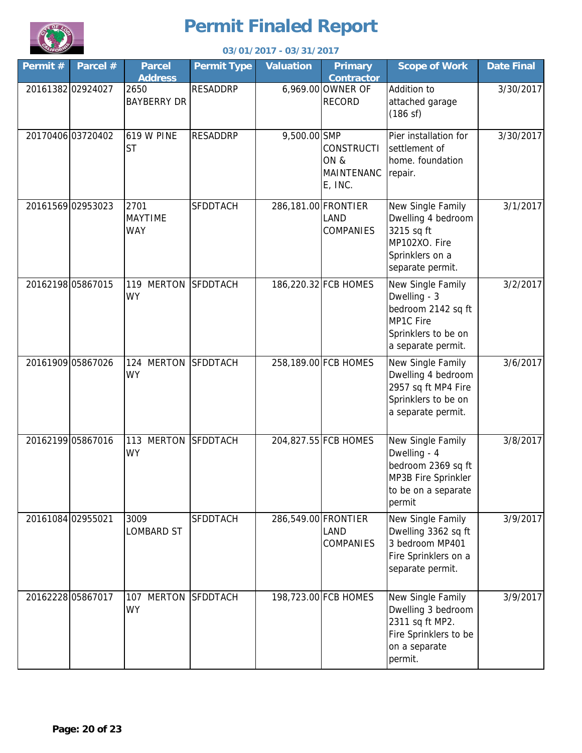

|                   | 03/01/2017 - 03/31/2017 |                                      |                    |                     |                                             |                                                                                                                   |                   |  |  |
|-------------------|-------------------------|--------------------------------------|--------------------|---------------------|---------------------------------------------|-------------------------------------------------------------------------------------------------------------------|-------------------|--|--|
| Permit#           | Parcel #                | <b>Parcel</b><br><b>Address</b>      | <b>Permit Type</b> | <b>Valuation</b>    | <b>Primary</b><br><b>Contractor</b>         | <b>Scope of Work</b>                                                                                              | <b>Date Final</b> |  |  |
|                   | 20161382 02924027       | 2650<br><b>BAYBERRY DR</b>           | <b>RESADDRP</b>    |                     | 6,969.00 OWNER OF<br><b>RECORD</b>          | Addition to<br>attached garage<br>(186 s f)                                                                       | 3/30/2017         |  |  |
|                   | 20170406 03720402       | <b>619 W PINE</b><br>ST              | <b>RESADDRP</b>    | 9,500.00 SMP        | CONSTRUCTI<br>ON &<br>MAINTENANC<br>E, INC. | Pier installation for<br>settlement of<br>home. foundation<br>repair.                                             | 3/30/2017         |  |  |
|                   | 20161569 02953023       | 2701<br><b>MAYTIME</b><br><b>WAY</b> | SFDDTACH           | 286,181.00 FRONTIER | <b>LAND</b><br><b>COMPANIES</b>             | New Single Family<br>Dwelling 4 bedroom<br>3215 sq ft<br>MP102XO. Fire<br>Sprinklers on a<br>separate permit.     | 3/1/2017          |  |  |
| 20162198 05867015 |                         | <b>MERTON</b><br>119<br><b>WY</b>    | <b>SFDDTACH</b>    |                     | 186,220.32 FCB HOMES                        | New Single Family<br>Dwelling - 3<br>bedroom 2142 sq ft<br>MP1C Fire<br>Sprinklers to be on<br>a separate permit. | 3/2/2017          |  |  |
|                   | 20161909 05867026       | <b>MERTON</b><br>124<br><b>WY</b>    | <b>SFDDTACH</b>    |                     | 258,189.00 FCB HOMES                        | New Single Family<br>Dwelling 4 bedroom<br>2957 sq ft MP4 Fire<br>Sprinklers to be on<br>a separate permit.       | 3/6/2017          |  |  |
|                   | 20162199 05867016       | 113 MERTON<br>WY                     | <b>SFDDTACH</b>    |                     | 204,827.55 FCB HOMES                        | New Single Family<br>Dwelling - 4<br>bedroom 2369 sq ft<br>MP3B Fire Sprinkler<br>to be on a separate<br>permit   | 3/8/2017          |  |  |
| 20161084 02955021 |                         | 3009<br><b>LOMBARD ST</b>            | <b>SFDDTACH</b>    | 286,549.00 FRONTIER | <b>LAND</b><br><b>COMPANIES</b>             | New Single Family<br>Dwelling 3362 sq ft<br>3 bedroom MP401<br>Fire Sprinklers on a<br>separate permit.           | 3/9/2017          |  |  |
|                   | 20162228 05867017       | <b>MERTON</b><br>107<br><b>WY</b>    | <b>SFDDTACH</b>    |                     | 198,723.00 FCB HOMES                        | New Single Family<br>Dwelling 3 bedroom<br>2311 sq ft MP2.<br>Fire Sprinklers to be<br>on a separate<br>permit.   | 3/9/2017          |  |  |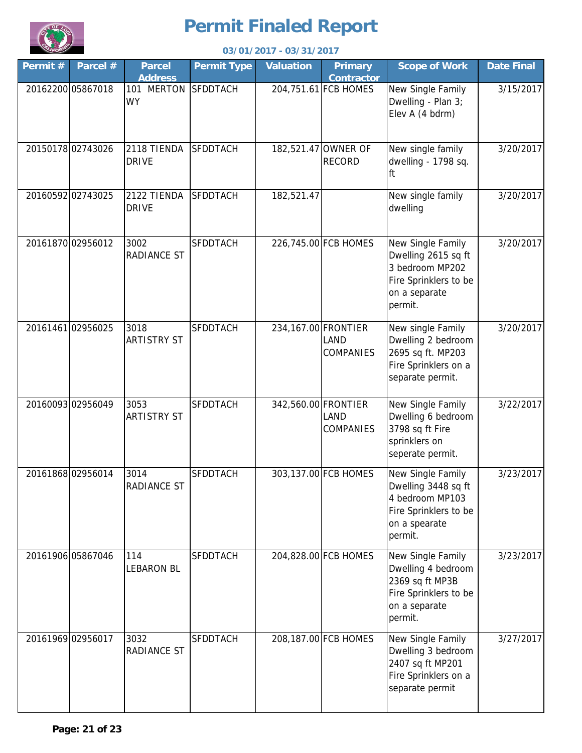

| <b>LIFOR</b> | 03/01/2017 - 03/31/2017 |                                 |                    |                     |                                      |                                                                                                                  |                   |  |  |  |
|--------------|-------------------------|---------------------------------|--------------------|---------------------|--------------------------------------|------------------------------------------------------------------------------------------------------------------|-------------------|--|--|--|
| Permit#      | Parcel #                | <b>Parcel</b><br><b>Address</b> | <b>Permit Type</b> | <b>Valuation</b>    | <b>Primary</b><br><b>Contractor</b>  | <b>Scope of Work</b>                                                                                             | <b>Date Final</b> |  |  |  |
|              | 20162200 05867018       | 101 MERTON<br><b>WY</b>         | <b>SFDDTACH</b>    |                     | 204,751.61 FCB HOMES                 | New Single Family<br>Dwelling - Plan 3;<br>Elev A (4 bdrm)                                                       | 3/15/2017         |  |  |  |
|              | 2015017802743026        | 2118 TIENDA<br><b>DRIVE</b>     | <b>SFDDTACH</b>    |                     | 182,521.47 OWNER OF<br><b>RECORD</b> | New single family<br>dwelling - 1798 sq.<br>ft                                                                   | 3/20/2017         |  |  |  |
|              | 20160592 02743025       | 2122 TIENDA<br><b>DRIVE</b>     | <b>SFDDTACH</b>    | 182,521.47          |                                      | New single family<br>dwelling                                                                                    | 3/20/2017         |  |  |  |
|              | 20161870 02956012       | 3002<br><b>RADIANCE ST</b>      | <b>SFDDTACH</b>    |                     | 226,745.00 FCB HOMES                 | New Single Family<br>Dwelling 2615 sq ft<br>3 bedroom MP202<br>Fire Sprinklers to be<br>on a separate<br>permit. | 3/20/2017         |  |  |  |
|              | 20161461 02956025       | 3018<br><b>ARTISTRY ST</b>      | <b>SFDDTACH</b>    | 234,167.00 FRONTIER | LAND<br><b>COMPANIES</b>             | New single Family<br>Dwelling 2 bedroom<br>2695 sq ft. MP203<br>Fire Sprinklers on a<br>separate permit.         | 3/20/2017         |  |  |  |
|              | 20160093 02956049       | 3053<br><b>ARTISTRY ST</b>      | <b>SFDDTACH</b>    | 342,560.00 FRONTIER | LAND<br><b>COMPANIES</b>             | New Single Family<br>Dwelling 6 bedroom<br>3798 sq ft Fire<br>sprinklers on<br>seperate permit.                  | 3/22/2017         |  |  |  |
|              | 20161868 02956014       | 3014<br><b>RADIANCE ST</b>      | SFDDTACH           |                     | 303,137.00 FCB HOMES                 | New Single Family<br>Dwelling 3448 sq ft<br>4 bedroom MP103<br>Fire Sprinklers to be<br>on a spearate<br>permit. | 3/23/2017         |  |  |  |
|              | 20161906 05867046       | 114<br><b>LEBARON BL</b>        | SFDDTACH           |                     | 204,828.00 FCB HOMES                 | New Single Family<br>Dwelling 4 bedroom<br>2369 sq ft MP3B<br>Fire Sprinklers to be<br>on a separate<br>permit.  | 3/23/2017         |  |  |  |
|              | 20161969 02956017       | 3032<br>RADIANCE ST             | <b>SFDDTACH</b>    |                     | 208,187.00 FCB HOMES                 | New Single Family<br>Dwelling 3 bedroom<br>2407 sq ft MP201<br>Fire Sprinklers on a<br>separate permit           | 3/27/2017         |  |  |  |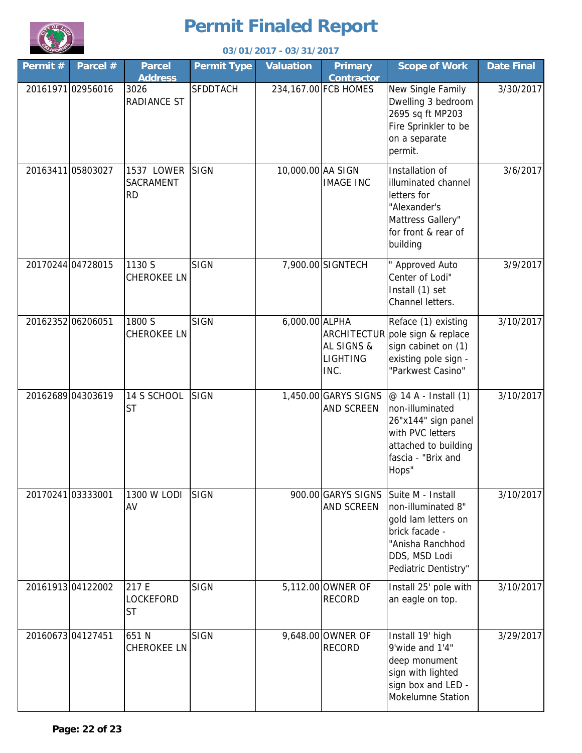

| <b>LIFOR</b> |                   |                                             |                    | 03/01/2017 - 03/31/2017 |                                                      |                                                                                                                                               |                   |
|--------------|-------------------|---------------------------------------------|--------------------|-------------------------|------------------------------------------------------|-----------------------------------------------------------------------------------------------------------------------------------------------|-------------------|
| Permit#      | Parcel #          | <b>Parcel</b><br><b>Address</b>             | <b>Permit Type</b> | <b>Valuation</b>        | <b>Primary</b><br><b>Contractor</b>                  | <b>Scope of Work</b>                                                                                                                          | <b>Date Final</b> |
|              | 20161971 02956016 | 3026<br><b>RADIANCE ST</b>                  | <b>SFDDTACH</b>    |                         | 234,167.00 FCB HOMES                                 | New Single Family<br>Dwelling 3 bedroom<br>2695 sq ft MP203<br>Fire Sprinkler to be<br>on a separate<br>permit.                               | 3/30/2017         |
|              | 20163411 05803027 | 1537 LOWER<br><b>SACRAMENT</b><br><b>RD</b> | <b>SIGN</b>        | 10,000.00 AA SIGN       | <b>IMAGE INC</b>                                     | Installation of<br>illuminated channel<br>letters for<br>"Alexander's<br>Mattress Gallery"<br>for front & rear of<br>building                 | 3/6/2017          |
|              | 20170244 04728015 | 1130 S<br><b>CHEROKEE LN</b>                | <b>SIGN</b>        |                         | 7,900.00 SIGNTECH                                    | " Approved Auto<br>Center of Lodi"<br>Install (1) set<br>Channel letters.                                                                     | 3/9/2017          |
|              | 20162352 06206051 | 1800 S<br><b>CHEROKEE LN</b>                | <b>SIGN</b>        | 6,000.00 ALPHA          | ARCHITECTUR<br>AL SIGNS &<br><b>LIGHTING</b><br>INC. | Reface (1) existing<br>pole sign & replace<br>sign cabinet on (1)<br>existing pole sign -<br>"Parkwest Casino"                                | 3/10/2017         |
|              | 20162689 04303619 | 14 S SCHOOL<br><b>ST</b>                    | <b>SIGN</b>        |                         | 1,450.00 GARYS SIGNS<br>AND SCREEN                   | @ 14 A - Install (1)<br>non-illuminated<br>26"x144" sign panel<br>with PVC letters<br>attached to building<br>fascia - "Brix and<br>Hops"     | 3/10/2017         |
|              | 20170241 03333001 | 1300 W LODI<br>AV                           | <b>SIGN</b>        |                         | 900.00 GARYS SIGNS<br>AND SCREEN                     | Suite M - Install<br>non-illuminated 8"<br>gold lam letters on<br>brick facade -<br>"Anisha Ranchhod<br>DDS, MSD Lodi<br>Pediatric Dentistry" | 3/10/2017         |
|              | 20161913 04122002 | 217 E<br><b>LOCKEFORD</b><br><b>ST</b>      | <b>SIGN</b>        |                         | 5,112.00 OWNER OF<br><b>RECORD</b>                   | Install 25' pole with<br>an eagle on top.                                                                                                     | 3/10/2017         |
|              | 20160673 04127451 | 651 N<br><b>CHEROKEE LN</b>                 | <b>SIGN</b>        |                         | 9,648.00 OWNER OF<br><b>RECORD</b>                   | Install 19' high<br>9'wide and 1'4"<br>deep monument<br>sign with lighted<br>sign box and LED -<br>Mokelumne Station                          | 3/29/2017         |